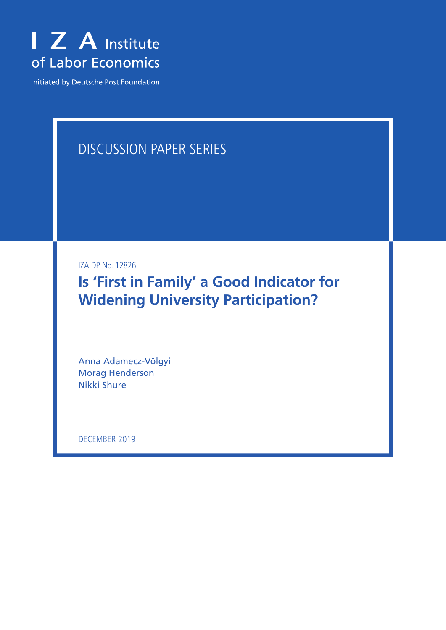

Initiated by Deutsche Post Foundation

# DISCUSSION PAPER SERIES

IZA DP No. 12826

**Is 'First in Family' a Good Indicator for Widening University Participation?**

Anna Adamecz-Völgyi Morag Henderson Nikki Shure

DECEMBER 2019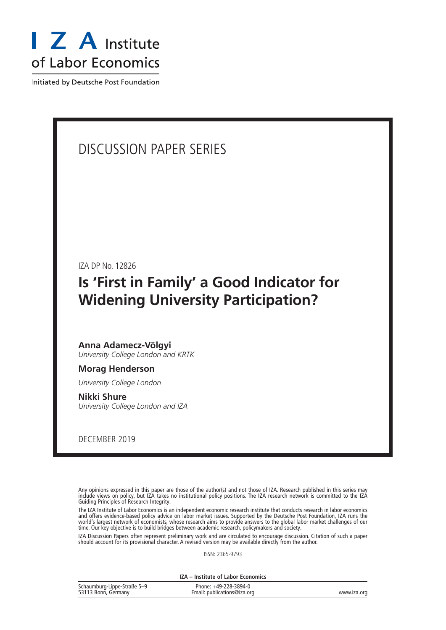

Initiated by Deutsche Post Foundation

## DISCUSSION PAPER SERIES

IZA DP No. 12826

## **Is 'First in Family' a Good Indicator for Widening University Participation?**

## **Anna Adamecz-Völgyi**

*University College London and KRTK*

#### **Morag Henderson**

*University College London*

**Nikki Shure** *University College London and IZA*

DECEMBER 2019

Any opinions expressed in this paper are those of the author(s) and not those of IZA. Research published in this series may include views on policy, but IZA takes no institutional policy positions. The IZA research network is committed to the IZA Guiding Principles of Research Integrity.

The IZA Institute of Labor Economics is an independent economic research institute that conducts research in labor economics and offers evidence-based policy advice on labor market issues. Supported by the Deutsche Post Foundation, IZA runs the world's largest network of economists, whose research aims to provide answers to the global labor market challenges of our time. Our key objective is to build bridges between academic research, policymakers and society.

IZA Discussion Papers often represent preliminary work and are circulated to encourage discussion. Citation of such a paper should account for its provisional character. A revised version may be available directly from the author.

ISSN: 2365-9793

**IZA – Institute of Labor Economics**

| Schaumburg-Lippe-Straße 5-9 | Phone: +49-228-3894-0       |             |
|-----------------------------|-----------------------------|-------------|
| 53113 Bonn, Germany         | Email: publications@iza.org | www.iza.org |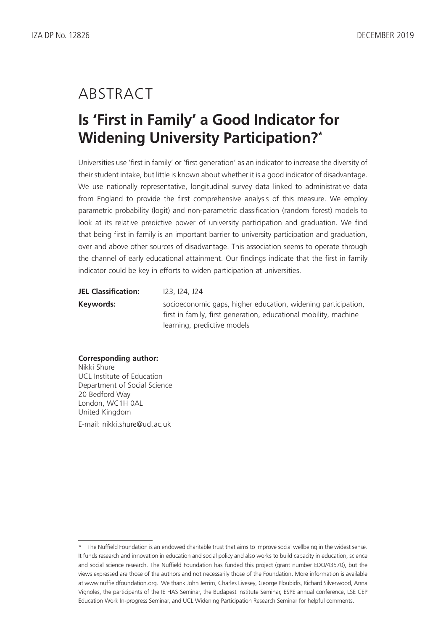## ABSTRACT

# **Is 'First in Family' a Good Indicator for Widening University Participation?\***

Universities use 'first in family' or 'first generation' as an indicator to increase the diversity of their student intake, but little is known about whether it is a good indicator of disadvantage. We use nationally representative, longitudinal survey data linked to administrative data from England to provide the first comprehensive analysis of this measure. We employ parametric probability (logit) and non-parametric classification (random forest) models to look at its relative predictive power of university participation and graduation. We find that being first in family is an important barrier to university participation and graduation, over and above other sources of disadvantage. This association seems to operate through the channel of early educational attainment. Our findings indicate that the first in family indicator could be key in efforts to widen participation at universities.

| <b>JEL Classification:</b> | <u>123, 124, J24</u>                                                                                                              |
|----------------------------|-----------------------------------------------------------------------------------------------------------------------------------|
| Keywords:                  | socioeconomic gaps, higher education, widening participation,<br>first in family, first generation, educational mobility, machine |
|                            | learning, predictive models                                                                                                       |

#### **Corresponding author:**

Nikki Shure UCL Institute of Education Department of Social Science 20 Bedford Way London, WC1H 0AL United Kingdom E-mail: nikki.shure@ucl.ac.uk

<sup>\*</sup> The Nuffield Foundation is an endowed charitable trust that aims to improve social wellbeing in the widest sense. It funds research and innovation in education and social policy and also works to build capacity in education, science and social science research. The Nuffield Foundation has funded this project (grant number EDO/43570), but the views expressed are those of the authors and not necessarily those of the Foundation. More information is available at www.nuffieldfoundation.org. We thank John Jerrim, Charles Livesey, George Ploubidis, Richard Silverwood, Anna Vignoles, the participants of the IE HAS Seminar, the Budapest Institute Seminar, ESPE annual conference, LSE CEP Education Work In-progress Seminar, and UCL Widening Participation Research Seminar for helpful comments.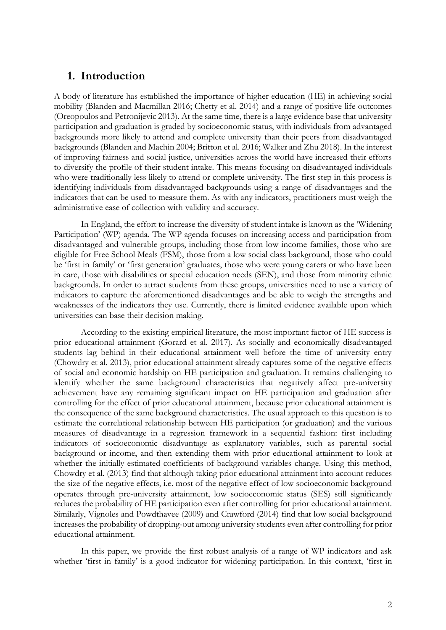## **1. Introduction**

A body of literature has established the importance of higher education (HE) in achieving social mobility (Blanden and Macmillan 2016; Chetty et al. 2014) and a range of positive life outcomes (Oreopoulos and Petronijevic 2013). At the same time, there is a large evidence base that university participation and graduation is graded by socioeconomic status, with individuals from advantaged backgrounds more likely to attend and complete university than their peers from disadvantaged backgrounds (Blanden and Machin 2004; Britton et al. 2016; Walker and Zhu 2018). In the interest of improving fairness and social justice, universities across the world have increased their efforts to diversify the profile of their student intake. This means focusing on disadvantaged individuals who were traditionally less likely to attend or complete university. The first step in this process is identifying individuals from disadvantaged backgrounds using a range of disadvantages and the indicators that can be used to measure them. As with any indicators, practitioners must weigh the administrative ease of collection with validity and accuracy.

In England, the effort to increase the diversity of student intake is known as the 'Widening Participation' (WP) agenda. The WP agenda focuses on increasing access and participation from disadvantaged and vulnerable groups, including those from low income families, those who are eligible for Free School Meals (FSM), those from a low social class background, those who could be 'first in family' or 'first generation' graduates, those who were young carers or who have been in care, those with disabilities or special education needs (SEN), and those from minority ethnic backgrounds. In order to attract students from these groups, universities need to use a variety of indicators to capture the aforementioned disadvantages and be able to weigh the strengths and weaknesses of the indicators they use. Currently, there is limited evidence available upon which universities can base their decision making.

According to the existing empirical literature, the most important factor of HE success is prior educational attainment (Gorard et al. 2017). As socially and economically disadvantaged students lag behind in their educational attainment well before the time of university entry (Chowdry et al. 2013), prior educational attainment already captures some of the negative effects of social and economic hardship on HE participation and graduation. It remains challenging to identify whether the same background characteristics that negatively affect pre-university achievement have any remaining significant impact on HE participation and graduation after controlling for the effect of prior educational attainment, because prior educational attainment is the consequence of the same background characteristics. The usual approach to this question is to estimate the correlational relationship between HE participation (or graduation) and the various measures of disadvantage in a regression framework in a sequential fashion: first including indicators of socioeconomic disadvantage as explanatory variables, such as parental social background or income, and then extending them with prior educational attainment to look at whether the initially estimated coefficients of background variables change. Using this method, Chowdry et al. (2013) find that although taking prior educational attainment into account reduces the size of the negative effects, i.e. most of the negative effect of low socioeconomic background operates through pre-university attainment, low socioeconomic status (SES) still significantly reduces the probability of HE participation even after controlling for prior educational attainment. Similarly, Vignoles and Powdthavee (2009) and Crawford (2014) find that low social background increases the probability of dropping-out among university students even after controlling for prior educational attainment.

In this paper, we provide the first robust analysis of a range of WP indicators and ask whether 'first in family' is a good indicator for widening participation. In this context, 'first in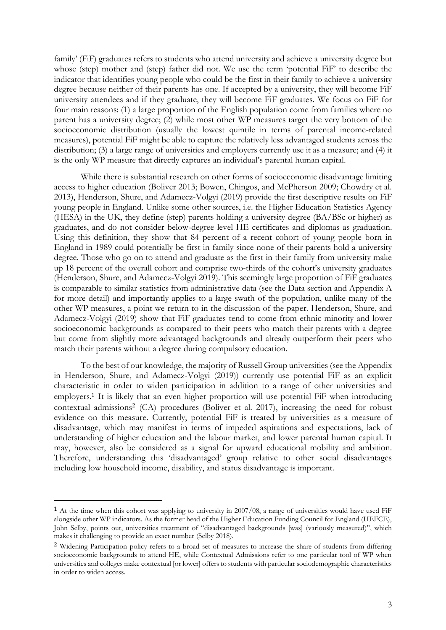family' (FiF) graduates refers to students who attend university and achieve a university degree but whose (step) mother and (step) father did not. We use the term 'potential FiF' to describe the indicator that identifies young people who could be the first in their family to achieve a university degree because neither of their parents has one. If accepted by a university, they will become FiF university attendees and if they graduate, they will become FiF graduates. We focus on FiF for four main reasons: (1) a large proportion of the English population come from families where no parent has a university degree; (2) while most other WP measures target the very bottom of the socioeconomic distribution (usually the lowest quintile in terms of parental income-related measures), potential FiF might be able to capture the relatively less advantaged students across the distribution; (3) a large range of universities and employers currently use it as a measure; and (4) it is the only WP measure that directly captures an individual's parental human capital.

While there is substantial research on other forms of socioeconomic disadvantage limiting access to higher education (Boliver 2013; Bowen, Chingos, and McPherson 2009; Chowdry et al. 2013), Henderson, Shure, and Adamecz-Volgyi (2019) provide the first descriptive results on FiF young people in England. Unlike some other sources, i.e. the Higher Education Statistics Agency (HESA) in the UK, they define (step) parents holding a university degree (BA/BSc or higher) as graduates, and do not consider below-degree level HE certificates and diplomas as graduation. Using this definition, they show that 84 percent of a recent cohort of young people born in England in 1989 could potentially be first in family since none of their parents hold a university degree. Those who go on to attend and graduate as the first in their family from university make up 18 percent of the overall cohort and comprise two-thirds of the cohort's university graduates (Henderson, Shure, and Adamecz-Volgyi 2019). This seemingly large proportion of FiF graduates is comparable to similar statistics from administrative data (see the Data section and Appendix A for more detail) and importantly applies to a large swath of the population, unlike many of the other WP measures, a point we return to in the discussion of the paper. Henderson, Shure, and Adamecz-Volgyi (2019) show that FiF graduates tend to come from ethnic minority and lower socioeconomic backgrounds as compared to their peers who match their parents with a degree but come from slightly more advantaged backgrounds and already outperform their peers who match their parents without a degree during compulsory education.

To the best of our knowledge, the majority of Russell Group universities (see the Appendix in Henderson, Shure, and Adamecz-Volgyi (2019)) currently use potential FiF as an explicit characteristic in order to widen participation in addition to a range of other universities and employers.<sup>1</sup> It is likely that an even higher proportion will use potential FiF when introducing contextual admissions<sup>2</sup> (CA) procedures (Boliver et al. 2017), increasing the need for robust evidence on this measure. Currently, potential FiF is treated by universities as a measure of disadvantage, which may manifest in terms of impeded aspirations and expectations, lack of understanding of higher education and the labour market, and lower parental human capital. It may, however, also be considered as a signal for upward educational mobility and ambition. Therefore, understanding this 'disadvantaged' group relative to other social disadvantages including low household income, disability, and status disadvantage is important.

<u>.</u>

<sup>&</sup>lt;sup>1</sup> At the time when this cohort was applying to university in 2007/08, a range of universities would have used FiF alongside other WP indicators. As the former head of the Higher Education Funding Council for England (HEFCE), John Selby, points out, universities treatment of "disadvantaged backgrounds [was] (variously measured)", which makes it challenging to provide an exact number (Selby 2018).

<sup>2</sup> Widening Participation policy refers to a broad set of measures to increase the share of students from differing socioeconomic backgrounds to attend HE, while Contextual Admissions refer to one particular tool of WP when universities and colleges make contextual [or lower] offers to students with particular sociodemographic characteristics in order to widen access.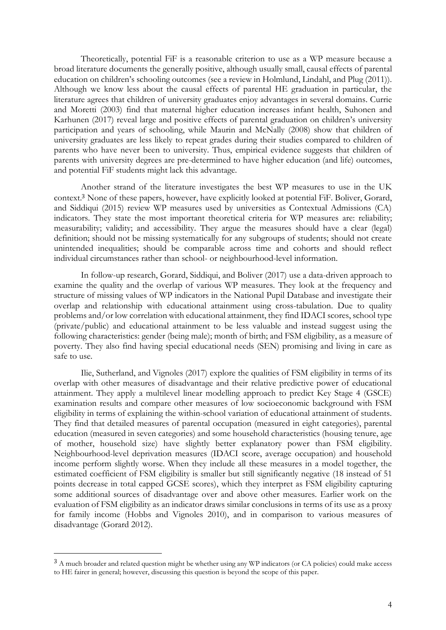Theoretically, potential FiF is a reasonable criterion to use as a WP measure because a broad literature documents the generally positive, although usually small, causal effects of parental education on children's schooling outcomes (see a review in Holmlund, Lindahl, and Plug (2011)). Although we know less about the causal effects of parental HE graduation in particular, the literature agrees that children of university graduates enjoy advantages in several domains. Currie and Moretti (2003) find that maternal higher education increases infant health, Suhonen and Karhunen (2017) reveal large and positive effects of parental graduation on children's university participation and years of schooling, while Maurin and McNally (2008) show that children of university graduates are less likely to repeat grades during their studies compared to children of parents who have never been to university. Thus, empirical evidence suggests that children of parents with university degrees are pre-determined to have higher education (and life) outcomes, and potential FiF students might lack this advantage.

Another strand of the literature investigates the best WP measures to use in the UK context. <sup>3</sup> None of these papers, however, have explicitly looked at potential FiF. Boliver, Gorard, and Siddiqui (2015) review WP measures used by universities as Contextual Admissions (CA) indicators. They state the most important theoretical criteria for WP measures are: reliability; measurability; validity; and accessibility. They argue the measures should have a clear (legal) definition; should not be missing systematically for any subgroups of students; should not create unintended inequalities; should be comparable across time and cohorts and should reflect individual circumstances rather than school- or neighbourhood-level information.

In follow-up research, Gorard, Siddiqui, and Boliver (2017) use a data-driven approach to examine the quality and the overlap of various WP measures. They look at the frequency and structure of missing values of WP indicators in the National Pupil Database and investigate their overlap and relationship with educational attainment using cross-tabulation. Due to quality problems and/or low correlation with educational attainment, they find IDACI scores, school type (private/public) and educational attainment to be less valuable and instead suggest using the following characteristics: gender (being male); month of birth; and FSM eligibility, as a measure of poverty. They also find having special educational needs (SEN) promising and living in care as safe to use.

Ilie, Sutherland, and Vignoles (2017) explore the qualities of FSM eligibility in terms of its overlap with other measures of disadvantage and their relative predictive power of educational attainment. They apply a multilevel linear modelling approach to predict Key Stage 4 (GSCE) examination results and compare other measures of low socioeconomic background with FSM eligibility in terms of explaining the within-school variation of educational attainment of students. They find that detailed measures of parental occupation (measured in eight categories), parental education (measured in seven categories) and some household characteristics (housing tenure, age of mother, household size) have slightly better explanatory power than FSM eligibility. Neighbourhood-level deprivation measures (IDACI score, average occupation) and household income perform slightly worse. When they include all these measures in a model together, the estimated coefficient of FSM eligibility is smaller but still significantly negative (18 instead of 51 points decrease in total capped GCSE scores), which they interpret as FSM eligibility capturing some additional sources of disadvantage over and above other measures. Earlier work on the evaluation of FSM eligibility as an indicator draws similar conclusions in terms of its use as a proxy for family income (Hobbs and Vignoles 2010), and in comparison to various measures of disadvantage (Gorard 2012).

<u>.</u>

<sup>&</sup>lt;sup>3</sup> A much broader and related question might be whether using any WP indicators (or CA policies) could make access to HE fairer in general; however, discussing this question is beyond the scope of this paper.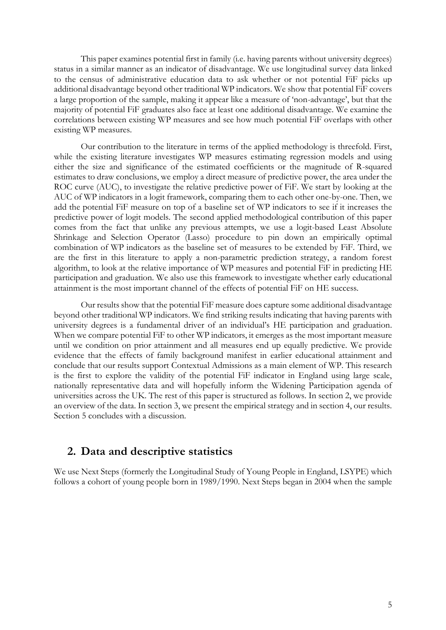This paper examines potential first in family (i.e. having parents without university degrees) status in a similar manner as an indicator of disadvantage. We use longitudinal survey data linked to the census of administrative education data to ask whether or not potential FiF picks up additional disadvantage beyond other traditional WP indicators. We show that potential FiF covers a large proportion of the sample, making it appear like a measure of 'non-advantage', but that the majority of potential FiF graduates also face at least one additional disadvantage. We examine the correlations between existing WP measures and see how much potential FiF overlaps with other existing WP measures.

Our contribution to the literature in terms of the applied methodology is threefold. First, while the existing literature investigates WP measures estimating regression models and using either the size and significance of the estimated coefficients or the magnitude of R-squared estimates to draw conclusions, we employ a direct measure of predictive power, the area under the ROC curve (AUC), to investigate the relative predictive power of FiF. We start by looking at the AUC of WP indicators in a logit framework, comparing them to each other one-by-one. Then, we add the potential FiF measure on top of a baseline set of WP indicators to see if it increases the predictive power of logit models. The second applied methodological contribution of this paper comes from the fact that unlike any previous attempts, we use a logit-based Least Absolute Shrinkage and Selection Operator (Lasso) procedure to pin down an empirically optimal combination of WP indicators as the baseline set of measures to be extended by FiF. Third, we are the first in this literature to apply a non-parametric prediction strategy, a random forest algorithm, to look at the relative importance of WP measures and potential FiF in predicting HE participation and graduation. We also use this framework to investigate whether early educational attainment is the most important channel of the effects of potential FiF on HE success.

Our results show that the potential FiF measure does capture some additional disadvantage beyond other traditional WP indicators. We find striking results indicating that having parents with university degrees is a fundamental driver of an individual's HE participation and graduation. When we compare potential FiF to other WP indicators, it emerges as the most important measure until we condition on prior attainment and all measures end up equally predictive. We provide evidence that the effects of family background manifest in earlier educational attainment and conclude that our results support Contextual Admissions as a main element of WP. This research is the first to explore the validity of the potential FiF indicator in England using large scale, nationally representative data and will hopefully inform the Widening Participation agenda of universities across the UK. The rest of this paper is structured as follows. In section 2, we provide an overview of the data. In section 3, we present the empirical strategy and in section 4, our results. Section 5 concludes with a discussion.

## **2. Data and descriptive statistics**

We use Next Steps (formerly the Longitudinal Study of Young People in England, LSYPE) which follows a cohort of young people born in 1989/1990. Next Steps began in 2004 when the sample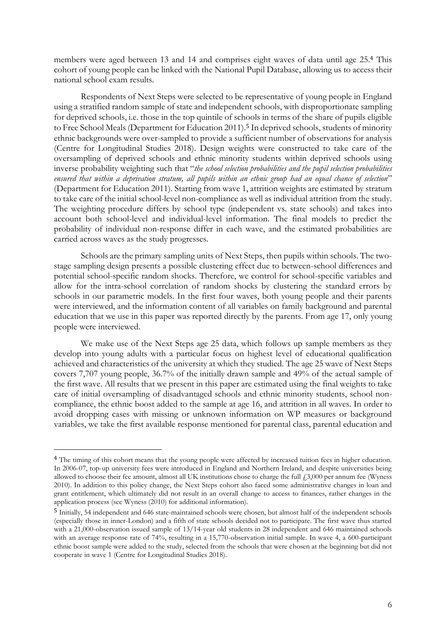members were aged between 13 and 14 and comprises eight waves of data until age 25. <sup>4</sup> This cohort of young people can be linked with the National Pupil Database, allowing us to access their national school exam results.

Respondents of Next Steps were selected to be representative of young people in England using a stratified random sample of state and independent schools, with disproportionate sampling for deprived schools, i.e. those in the top quintile of schools in terms of the share of pupils eligible to Free School Meals (Department for Education 2011). <sup>5</sup> In deprived schools, students of minority ethnic backgrounds were over-sampled to provide a sufficient number of observations for analysis (Centre for Longitudinal Studies 2018). Design weights were constructed to take care of the oversampling of deprived schools and ethnic minority students within deprived schools using inverse probability weighting such that "*the school selection probabilities and the pupil selection probabilities ensured that within a deprivation stratum, all pupils within an ethnic group had an equal chance of selection*" (Department for Education 2011). Starting from wave 1, attrition weights are estimated by stratum to take care of the initial school-level non-compliance as well as individual attrition from the study. The weighting procedure differs by school type (independent vs. state schools) and takes into account both school-level and individual-level information. The final models to predict the probability of individual non-response differ in each wave, and the estimated probabilities are carried across waves as the study progresses.

Schools are the primary sampling units of Next Steps, then pupils within schools. The twostage sampling design presents a possible clustering effect due to between-school differences and potential school-specific random shocks. Therefore, we control for school-specific variables and allow for the intra-school correlation of random shocks by clustering the standard errors by schools in our parametric models. In the first four waves, both young people and their parents were interviewed, and the information content of all variables on family background and parental education that we use in this paper was reported directly by the parents. From age 17, only young people were interviewed.

We make use of the Next Steps age 25 data, which follows up sample members as they develop into young adults with a particular focus on highest level of educational qualification achieved and characteristics of the university at which they studied. The age 25 wave of Next Steps covers 7,707 young people, 36.7% of the initially drawn sample and 49% of the actual sample of the first wave. All results that we present in this paper are estimated using the final weights to take care of initial oversampling of disadvantaged schools and ethnic minority students, school noncompliance, the ethnic boost added to the sample at age 16, and attrition in all waves. In order to avoid dropping cases with missing or unknown information on WP measures or background variables, we take the first available response mentioned for parental class, parental education and

<u>.</u>

<sup>&</sup>lt;sup>4</sup> The timing of this cohort means that the young people were affected by increased tuition fees in higher education. In 2006-07, top-up university fees were introduced in England and Northern Ireland, and despite universities being allowed to choose their fee amount, almost all UK institutions chose to charge the full  $\mu$ 3,000 per annum fee (Wyness 2010). In addition to this policy change, the Next Steps cohort also faced some administrative changes in loan and grant entitlement, which ultimately did not result in an overall change to access to finances, rather changes in the application process (see Wyness (2010) for additional information).

<sup>5</sup> Initially, 54 independent and 646 state-maintained schools were chosen, but almost half of the independent schools (especially those in inner-London) and a fifth of state schools decided not to participate. The first wave thus started with a 21,000-observation issued sample of 13/14-year old students in 28 independent and 646 maintained schools with an average response rate of 74%, resulting in a 15,770-observation initial sample. In wave 4, a 600-participant ethnic boost sample were added to the study, selected from the schools that were chosen at the beginning but did not cooperate in wave 1 (Centre for Longitudinal Studies 2018).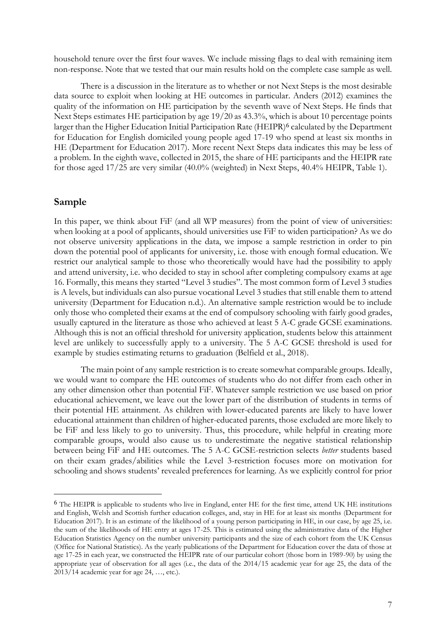household tenure over the first four waves. We include missing flags to deal with remaining item non-response. Note that we tested that our main results hold on the complete case sample as well.

There is a discussion in the literature as to whether or not Next Steps is the most desirable data source to exploit when looking at HE outcomes in particular. Anders (2012) examines the quality of the information on HE participation by the seventh wave of Next Steps. He finds that Next Steps estimates HE participation by age 19/20 as 43.3%, which is about 10 percentage points larger than the Higher Education Initial Participation Rate (HEIPR)<sup>6</sup> calculated by the Department for Education for English domiciled young people aged 17-19 who spend at least six months in HE (Department for Education 2017). More recent Next Steps data indicates this may be less of a problem. In the eighth wave, collected in 2015, the share of HE participants and the HEIPR rate for those aged 17/25 are very similar (40.0% (weighted) in Next Steps, 40.4% HEIPR, [Table 1\)](#page-25-0).

### **Sample**

<u>.</u>

In this paper, we think about FiF (and all WP measures) from the point of view of universities: when looking at a pool of applicants, should universities use FiF to widen participation? As we do not observe university applications in the data, we impose a sample restriction in order to pin down the potential pool of applicants for university, i.e. those with enough formal education. We restrict our analytical sample to those who theoretically would have had the possibility to apply and attend university, i.e. who decided to stay in school after completing compulsory exams at age 16. Formally, this means they started "Level 3 studies". The most common form of Level 3 studies is A levels, but individuals can also pursue vocational Level 3 studies that still enable them to attend university (Department for Education n.d.). An alternative sample restriction would be to include only those who completed their exams at the end of compulsory schooling with fairly good grades, usually captured in the literature as those who achieved at least 5 A-C grade GCSE examinations. Although this is not an official threshold for university application, students below this attainment level are unlikely to successfully apply to a university. The 5 A-C GCSE threshold is used for example by studies estimating returns to graduation (Belfield et al., 2018).

The main point of any sample restriction is to create somewhat comparable groups. Ideally, we would want to compare the HE outcomes of students who do not differ from each other in any other dimension other than potential FiF. Whatever sample restriction we use based on prior educational achievement, we leave out the lower part of the distribution of students in terms of their potential HE attainment. As children with lower-educated parents are likely to have lower educational attainment than children of higher-educated parents, those excluded are more likely to be FiF and less likely to go to university. Thus, this procedure, while helpful in creating more comparable groups, would also cause us to underestimate the negative statistical relationship between being FiF and HE outcomes. The 5 A-C GCSE-restriction selects *better* students based on their exam grades/abilities while the Level 3-restriction focuses more on motivation for schooling and shows students' revealed preferences for learning. As we explicitly control for prior

<sup>6</sup> The HEIPR is applicable to students who live in England, enter HE for the first time, attend UK HE institutions and English, Welsh and Scottish further education colleges, and, stay in HE for at least six months (Department for Education 2017). It is an estimate of the likelihood of a young person participating in HE, in our case, by age 25, i.e. the sum of the likelihoods of HE entry at ages 17-25. This is estimated using the administrative data of the Higher Education Statistics Agency on the number university participants and the size of each cohort from the UK Census (Office for National Statistics). As the yearly publications of the Department for Education cover the data of those at age 17-25 in each year, we constructed the HEIPR rate of our particular cohort (those born in 1989-90) by using the appropriate year of observation for all ages (i.e., the data of the 2014/15 academic year for age 25, the data of the 2013/14 academic year for age 24, …, etc.).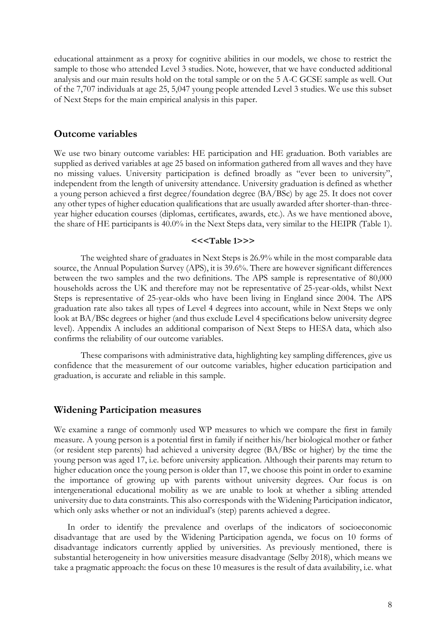educational attainment as a proxy for cognitive abilities in our models, we chose to restrict the sample to those who attended Level 3 studies. Note, however, that we have conducted additional analysis and our main results hold on the total sample or on the 5 A-C GCSE sample as well. Out of the 7,707 individuals at age 25, 5,047 young people attended Level 3 studies. We use this subset of Next Steps for the main empirical analysis in this paper.

#### **Outcome variables**

We use two binary outcome variables: HE participation and HE graduation. Both variables are supplied as derived variables at age 25 based on information gathered from all waves and they have no missing values. University participation is defined broadly as "ever been to university", independent from the length of university attendance. University graduation is defined as whether a young person achieved a first degree/foundation degree (BA/BSc) by age 25. It does not cover any other types of higher education qualifications that are usually awarded after shorter-than-threeyear higher education courses (diplomas, certificates, awards, etc.). As we have mentioned above, the share of HE participants is 40.0% in the Next Steps data, very similar to the HEIPR [\(Table 1\)](#page-25-0).

#### **<<[<Table 1>](#page-25-0)>>**

The weighted share of graduates in Next Steps is 26.9% while in the most comparable data source, the Annual Population Survey (APS), it is 39.6%. There are however significant differences between the two samples and the two definitions. The APS sample is representative of 80,000 households across the UK and therefore may not be representative of 25-year-olds, whilst Next Steps is representative of 25-year-olds who have been living in England since 2004. The APS graduation rate also takes all types of Level 4 degrees into account, while in Next Steps we only look at BA/BSc degrees or higher (and thus exclude Level 4 specifications below university degree level). Appendix A includes an additional comparison of Next Steps to HESA data, which also confirms the reliability of our outcome variables.

These comparisons with administrative data, highlighting key sampling differences, give us confidence that the measurement of our outcome variables, higher education participation and graduation, is accurate and reliable in this sample.

### **Widening Participation measures**

We examine a range of commonly used WP measures to which we compare the first in family measure. A young person is a potential first in family if neither his/her biological mother or father (or resident step parents) had achieved a university degree (BA/BSc or higher) by the time the young person was aged 17, i.e. before university application. Although their parents may return to higher education once the young person is older than 17, we choose this point in order to examine the importance of growing up with parents without university degrees. Our focus is on intergenerational educational mobility as we are unable to look at whether a sibling attended university due to data constraints. This also corresponds with the Widening Participation indicator, which only asks whether or not an individual's (step) parents achieved a degree.

In order to identify the prevalence and overlaps of the indicators of socioeconomic disadvantage that are used by the Widening Participation agenda, we focus on 10 forms of disadvantage indicators currently applied by universities. As previously mentioned, there is substantial heterogeneity in how universities measure disadvantage (Selby 2018), which means we take a pragmatic approach: the focus on these 10 measures is the result of data availability, i.e. what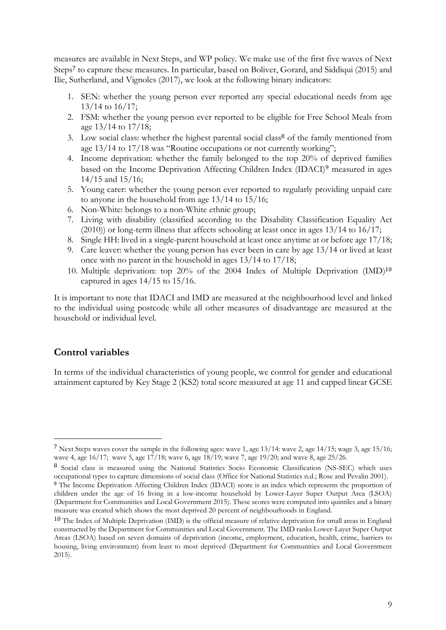measures are available in Next Steps, and WP policy. We make use of the first five waves of Next Steps<sup>7</sup> to capture these measures. In particular, based on Boliver, Gorard, and Siddiqui (2015) and Ilie, Sutherland, and Vignoles (2017), we look at the following binary indicators:

- 1. SEN: whether the young person ever reported any special educational needs from age 13/14 to 16/17;
- 2. FSM: whether the young person ever reported to be eligible for Free School Meals from age 13/14 to 17/18;
- 3. Low social class: whether the highest parental social class<sup>8</sup> of the family mentioned from age 13/14 to 17/18 was "Routine occupations or not currently working";
- 4. Income deprivation: whether the family belonged to the top 20% of deprived families based on the Income Deprivation Affecting Children Index (IDACI)<sup>9</sup> measured in ages 14/15 and 15/16;
- 5. Young carer: whether the young person ever reported to regularly providing unpaid care to anyone in the household from age 13/14 to 15/16;
- 6. Non-White: belongs to a non-White ethnic group;
- 7. Living with disability (classified according to the Disability Classification Equality Act (2010)) or long-term illness that affects schooling at least once in ages 13/14 to 16/17;
- 8. Single HH: lived in a single-parent household at least once anytime at or before age 17/18;
- 9. Care leaver: whether the young person has ever been in care by age 13/14 or lived at least once with no parent in the household in ages 13/14 to 17/18;
- 10. Multiple deprivation: top 20% of the 2004 Index of Multiple Deprivation (IMD) 10 captured in ages 14/15 to 15/16.

It is important to note that IDACI and IMD are measured at the neighbourhood level and linked to the individual using postcode while all other measures of disadvantage are measured at the household or individual level.

## **Control variables**

<u>.</u>

In terms of the individual characteristics of young people, we control for gender and educational attainment captured by Key Stage 2 (KS2) total score measured at age 11 and capped linear GCSE

<sup>7</sup> Next Steps waves cover the sample in the following ages: wave 1, age 13/14: wave 2, age 14/15; wage 3, age 15/16; wave 4, age 16/17; wave 5, age 17/18; wave 6, age 18/19; wave 7, age 19/20; and wave 8, age 25/26.

<sup>8</sup> Social class is measured using the National Statistics Socio Economic Classification (NS-SEC) which uses occupational types to capture dimensions of social class (Office for National Statistics n.d.; Rose and Pevalin 2001).

<sup>9</sup> The Income Deprivation Affecting Children Index (IDACI) score is an index which represents the proportion of children under the age of 16 living in a low-income household by Lower-Layer Super Output Area (LSOA) (Department for Communities and Local Government 2015). These scores were computed into quintiles and a binary measure was created which shows the most deprived 20 percent of neighbourhoods in England.

<sup>10</sup> The Index of Multiple Deprivation (IMD) is the official measure of relative deprivation for small areas in England constructed by the Department for Communities and Local Government. The IMD ranks Lower-Layer Super Output Areas (LSOA) based on seven domains of deprivation (income, employment, education, health, crime, barriers to housing, living environment) from least to most deprived (Department for Communities and Local Government 2015).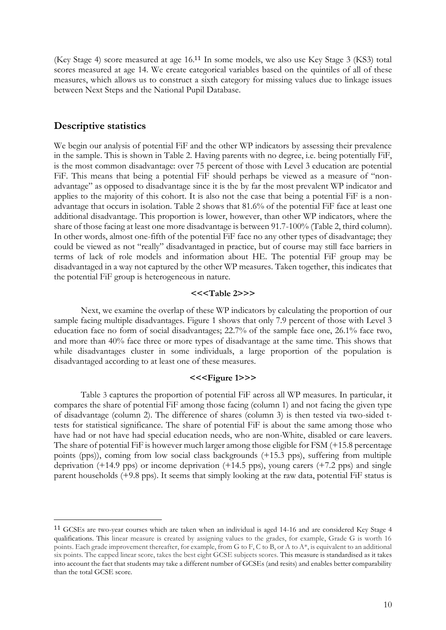(Key Stage 4) score measured at age 16. <sup>11</sup> In some models, we also use Key Stage 3 (KS3) total scores measured at age 14. We create categorical variables based on the quintiles of all of these measures, which allows us to construct a sixth category for missing values due to linkage issues between Next Steps and the National Pupil Database.

#### **Descriptive statistics**

<u>.</u>

We begin our analysis of potential FiF and the other WP indicators by assessing their prevalence in the sample. This is shown in [Table 2.](#page-26-0) Having parents with no degree, i.e. being potentially FiF, is the most common disadvantage: over 75 percent of those with Level 3 education are potential FiF. This means that being a potential FiF should perhaps be viewed as a measure of "nonadvantage" as opposed to disadvantage since it is the by far the most prevalent WP indicator and applies to the majority of this cohort. It is also not the case that being a potential FiF is a nonadvantage that occurs in isolation. [Table 2](#page-26-0) shows that 81.6% of the potential FiF face at least one additional disadvantage. This proportion is lower, however, than other WP indicators, where the share of those facing at least one more disadvantage is between 91.7-100% [\(Table 2,](#page-26-0) third column). In other words, almost one-fifth of the potential FiF face no any other types of disadvantage; they could be viewed as not "really" disadvantaged in practice, but of course may still face barriers in terms of lack of role models and information about HE. The potential FiF group may be disadvantaged in a way not captured by the other WP measures. Taken together, this indicates that the potential FiF group is heterogeneous in nature.

#### **<<[<Table 2>](#page-26-0)>>**

Next, we examine the overlap of these WP indicators by calculating the proportion of our sample facing multiple disadvantages. [Figure 1](#page-32-0) shows that only 7.9 percent of those with Level 3 education face no form of social disadvantages; 22.7% of the sample face one, 26.1% face two, and more than 40% face three or more types of disadvantage at the same time. This shows that while disadvantages cluster in some individuals, a large proportion of the population is disadvantaged according to at least one of these measures.

#### **<<[<Figure 1>](#page-32-0)>[>](#page-26-1)**

[Table](#page-26-1) 3 captures the proportion of potential FiF across all WP measures. In particular, it compares the share of potential FiF among those facing (column 1) and not facing the given type of disadvantage (column 2). The difference of shares (column 3) is then tested via two-sided ttests for statistical significance. The share of potential FiF is about the same among those who have had or not have had special education needs, who are non-White, disabled or care leavers. The share of potential FiF is however much larger among those eligible for FSM (+15.8 percentage points (pps)), coming from low social class backgrounds (+15.3 pps), suffering from multiple deprivation (+14.9 pps) or income deprivation (+14.5 pps), young carers (+7.2 pps) and single parent households (+9.8 pps). It seems that simply looking at the raw data, potential FiF status is

<sup>11</sup> GCSEs are two-year courses which are taken when an individual is aged 14-16 and are considered Key Stage 4 qualifications. This linear measure is created by assigning values to the grades, for example, Grade G is worth 16 points. Each grade improvement thereafter, for example, from G to F, C to B, or A to A\*, is equivalent to an additional six points. The capped linear score, takes the best eight GCSE subjects scores. This measure is standardised as it takes into account the fact that students may take a different number of GCSEs (and resits) and enables better comparability than the total GCSE score.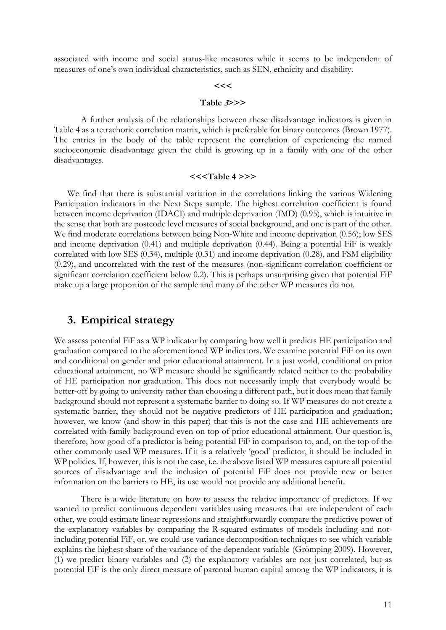associated with income and social status-like measures while it seems to be independent of measures of one's own individual characteristics, such as SEN, ethnicity and disability.

#### **<<[<](#page-26-1)**

#### **[Table](#page-26-1) <sup>3</sup>>>>**

A further analysis of the relationships between these disadvantage indicators is given in [Table 4](#page-27-0) as a tetrachoric correlation matrix, which is preferable for binary outcomes (Brown 1977). The entries in the body of the table represent the correlation of experiencing the named socioeconomic disadvantage given the child is growing up in a family with one of the other disadvantages.

#### **<<[<Table 4](#page-27-0) >>>**

We find that there is substantial variation in the correlations linking the various Widening Participation indicators in the Next Steps sample. The highest correlation coefficient is found between income deprivation (IDACI) and multiple deprivation (IMD) (0.95), which is intuitive in the sense that both are postcode level measures of social background, and one is part of the other. We find moderate correlations between being Non-White and income deprivation (0.56); low SES and income deprivation (0.41) and multiple deprivation (0.44). Being a potential FiF is weakly correlated with low SES (0.34), multiple (0.31) and income deprivation (0.28), and FSM eligibility (0.29), and uncorrelated with the rest of the measures (non-significant correlation coefficient or significant correlation coefficient below 0.2). This is perhaps unsurprising given that potential FiF make up a large proportion of the sample and many of the other WP measures do not.

### **3. Empirical strategy**

We assess potential FiF as a WP indicator by comparing how well it predicts HE participation and graduation compared to the aforementioned WP indicators. We examine potential FiF on its own and conditional on gender and prior educational attainment. In a just world, conditional on prior educational attainment, no WP measure should be significantly related neither to the probability of HE participation nor graduation. This does not necessarily imply that everybody would be better-off by going to university rather than choosing a different path, but it does mean that family background should not represent a systematic barrier to doing so. If WP measures do not create a systematic barrier, they should not be negative predictors of HE participation and graduation; however, we know (and show in this paper) that this is not the case and HE achievements are correlated with family background even on top of prior educational attainment. Our question is, therefore, how good of a predictor is being potential FiF in comparison to, and, on the top of the other commonly used WP measures. If it is a relatively 'good' predictor, it should be included in WP policies. If, however, this is not the case, i.e. the above listed WP measures capture all potential sources of disadvantage and the inclusion of potential FiF does not provide new or better information on the barriers to HE, its use would not provide any additional benefit.

There is a wide literature on how to assess the relative importance of predictors. If we wanted to predict continuous dependent variables using measures that are independent of each other, we could estimate linear regressions and straightforwardly compare the predictive power of the explanatory variables by comparing the R-squared estimates of models including and notincluding potential FiF, or, we could use variance decomposition techniques to see which variable explains the highest share of the variance of the dependent variable (Grömping 2009). However, (1) we predict binary variables and (2) the explanatory variables are not just correlated, but as potential FiF is the only direct measure of parental human capital among the WP indicators, it is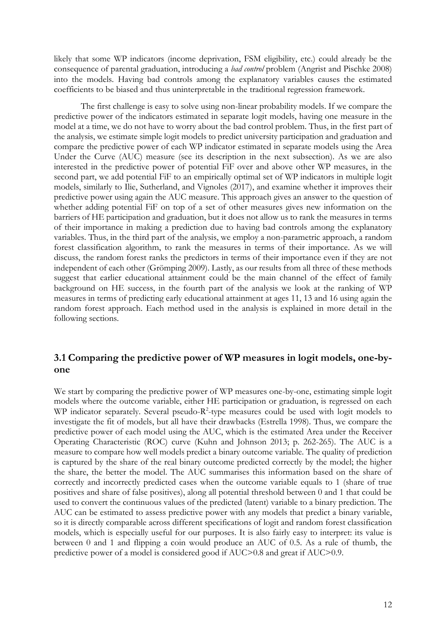likely that some WP indicators (income deprivation, FSM eligibility, etc.) could already be the consequence of parental graduation, introducing a *bad control* problem (Angrist and Pischke 2008) into the models. Having bad controls among the explanatory variables causes the estimated coefficients to be biased and thus uninterpretable in the traditional regression framework.

The first challenge is easy to solve using non-linear probability models. If we compare the predictive power of the indicators estimated in separate logit models, having one measure in the model at a time, we do not have to worry about the bad control problem. Thus, in the first part of the analysis, we estimate simple logit models to predict university participation and graduation and compare the predictive power of each WP indicator estimated in separate models using the Area Under the Curve (AUC) measure (see its description in the next subsection). As we are also interested in the predictive power of potential FiF over and above other WP measures, in the second part, we add potential FiF to an empirically optimal set of WP indicators in multiple logit models, similarly to Ilie, Sutherland, and Vignoles (2017), and examine whether it improves their predictive power using again the AUC measure. This approach gives an answer to the question of whether adding potential FiF on top of a set of other measures gives new information on the barriers of HE participation and graduation, but it does not allow us to rank the measures in terms of their importance in making a prediction due to having bad controls among the explanatory variables. Thus, in the third part of the analysis, we employ a non-parametric approach, a random forest classification algorithm, to rank the measures in terms of their importance. As we will discuss, the random forest ranks the predictors in terms of their importance even if they are not independent of each other (Grömping 2009). Lastly, as our results from all three of these methods suggest that earlier educational attainment could be the main channel of the effect of family background on HE success, in the fourth part of the analysis we look at the ranking of WP measures in terms of predicting early educational attainment at ages 11, 13 and 16 using again the random forest approach. Each method used in the analysis is explained in more detail in the following sections.

## **3.1 Comparing the predictive power of WP measures in logit models, one-byone**

We start by comparing the predictive power of WP measures one-by-one, estimating simple logit models where the outcome variable, either HE participation or graduation, is regressed on each WP indicator separately. Several pseudo- $R^2$ -type measures could be used with logit models to investigate the fit of models, but all have their drawbacks (Estrella 1998). Thus, we compare the predictive power of each model using the AUC, which is the estimated Area under the Receiver Operating Characteristic (ROC) curve (Kuhn and Johnson 2013; p. 262-265). The AUC is a measure to compare how well models predict a binary outcome variable. The quality of prediction is captured by the share of the real binary outcome predicted correctly by the model; the higher the share, the better the model. The AUC summarises this information based on the share of correctly and incorrectly predicted cases when the outcome variable equals to 1 (share of true positives and share of false positives), along all potential threshold between 0 and 1 that could be used to convert the continuous values of the predicted (latent) variable to a binary prediction. The AUC can be estimated to assess predictive power with any models that predict a binary variable, so it is directly comparable across different specifications of logit and random forest classification models, which is especially useful for our purposes. It is also fairly easy to interpret: its value is between 0 and 1 and flipping a coin would produce an AUC of 0.5. As a rule of thumb, the predictive power of a model is considered good if AUC>0.8 and great if AUC>0.9.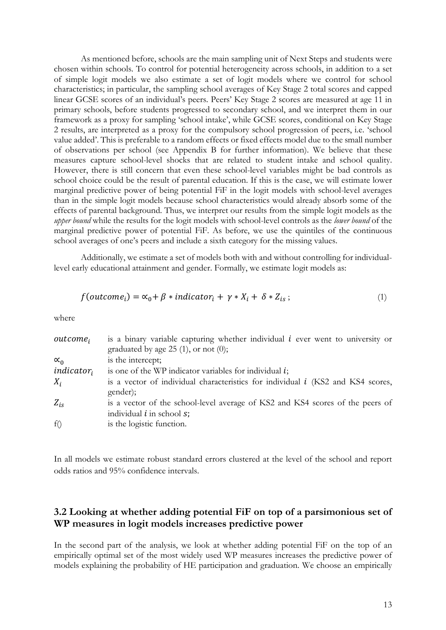As mentioned before, schools are the main sampling unit of Next Steps and students were chosen within schools. To control for potential heterogeneity across schools, in addition to a set of simple logit models we also estimate a set of logit models where we control for school characteristics; in particular, the sampling school averages of Key Stage 2 total scores and capped linear GCSE scores of an individual's peers. Peers' Key Stage 2 scores are measured at age 11 in primary schools, before students progressed to secondary school, and we interpret them in our framework as a proxy for sampling 'school intake', while GCSE scores, conditional on Key Stage 2 results, are interpreted as a proxy for the compulsory school progression of peers, i.e. 'school value added'. This is preferable to a random effects or fixed effects model due to the small number of observations per school (see Appendix B for further information). We believe that these measures capture school-level shocks that are related to student intake and school quality. However, there is still concern that even these school-level variables might be bad controls as school choice could be the result of parental education. If this is the case, we will estimate lower marginal predictive power of being potential FiF in the logit models with school-level averages than in the simple logit models because school characteristics would already absorb some of the effects of parental background. Thus, we interpret our results from the simple logit models as the *upper bound* while the results for the logit models with school-level controls as the *lower bound* of the marginal predictive power of potential FiF. As before, we use the quintiles of the continuous school averages of one's peers and include a sixth category for the missing values.

Additionally, we estimate a set of models both with and without controlling for individuallevel early educational attainment and gender. Formally, we estimate logit models as:

$$
f(outcomei) = \alpha_0 + \beta * indicatori + \gamma * Xi + \delta * Zis ;
$$
\n(1)

where

| $outcome_i$   | is a binary variable capturing whether individual $i$ ever went to university or<br>graduated by age $25(1)$ , or not $(0)$ ; |
|---------------|-------------------------------------------------------------------------------------------------------------------------------|
| $\alpha_0$    | is the intercept;                                                                                                             |
| $indicator_i$ | is one of the WP indicator variables for individual $i$ ;                                                                     |
| $X_i$         | is a vector of individual characteristics for individual $i$ (KS2 and KS4 scores,<br>gender);                                 |
| $Z_{is}$      | is a vector of the school-level average of KS2 and KS4 scores of the peers of<br>individual $i$ in school $s$ ;               |
| f()           | is the logistic function.                                                                                                     |

In all models we estimate robust standard errors clustered at the level of the school and report odds ratios and 95% confidence intervals.

## **3.2 Looking at whether adding potential FiF on top of a parsimonious set of WP measures in logit models increases predictive power**

In the second part of the analysis, we look at whether adding potential FiF on the top of an empirically optimal set of the most widely used WP measures increases the predictive power of models explaining the probability of HE participation and graduation. We choose an empirically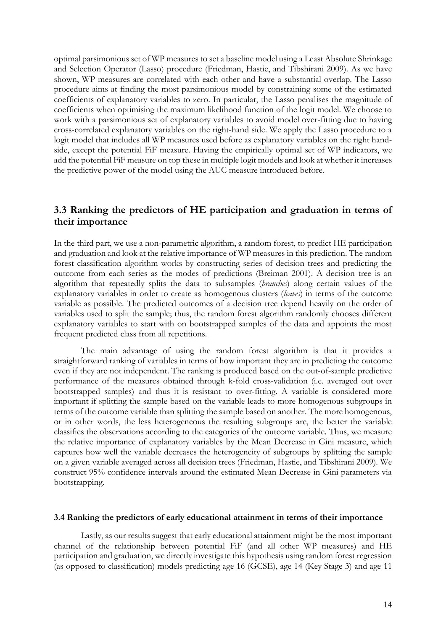optimal parsimonious set of WP measures to set a baseline model using a Least Absolute Shrinkage and Selection Operator (Lasso) procedure (Friedman, Hastie, and Tibshirani 2009). As we have shown, WP measures are correlated with each other and have a substantial overlap. The Lasso procedure aims at finding the most parsimonious model by constraining some of the estimated coefficients of explanatory variables to zero. In particular, the Lasso penalises the magnitude of coefficients when optimising the maximum likelihood function of the logit model. We choose to work with a parsimonious set of explanatory variables to avoid model over-fitting due to having cross-correlated explanatory variables on the right-hand side. We apply the Lasso procedure to a logit model that includes all WP measures used before as explanatory variables on the right handside, except the potential FiF measure. Having the empirically optimal set of WP indicators, we add the potential FiF measure on top these in multiple logit models and look at whether it increases the predictive power of the model using the AUC measure introduced before.

## **3.3 Ranking the predictors of HE participation and graduation in terms of their importance**

In the third part, we use a non-parametric algorithm, a random forest, to predict HE participation and graduation and look at the relative importance of WP measures in this prediction. The random forest classification algorithm works by constructing series of decision trees and predicting the outcome from each series as the modes of predictions (Breiman 2001). A decision tree is an algorithm that repeatedly splits the data to subsamples (*branches*) along certain values of the explanatory variables in order to create as homogenous clusters (*leaves*) in terms of the outcome variable as possible. The predicted outcomes of a decision tree depend heavily on the order of variables used to split the sample; thus, the random forest algorithm randomly chooses different explanatory variables to start with on bootstrapped samples of the data and appoints the most frequent predicted class from all repetitions.

The main advantage of using the random forest algorithm is that it provides a straightforward ranking of variables in terms of how important they are in predicting the outcome even if they are not independent. The ranking is produced based on the out-of-sample predictive performance of the measures obtained through k-fold cross-validation (i.e. averaged out over bootstrapped samples) and thus it is resistant to over-fitting. A variable is considered more important if splitting the sample based on the variable leads to more homogenous subgroups in terms of the outcome variable than splitting the sample based on another. The more homogenous, or in other words, the less heterogeneous the resulting subgroups are, the better the variable classifies the observations according to the categories of the outcome variable. Thus, we measure the relative importance of explanatory variables by the Mean Decrease in Gini measure, which captures how well the variable decreases the heterogeneity of subgroups by splitting the sample on a given variable averaged across all decision trees (Friedman, Hastie, and Tibshirani 2009). We construct 95% confidence intervals around the estimated Mean Decrease in Gini parameters via bootstrapping.

#### **3.4 Ranking the predictors of early educational attainment in terms of their importance**

Lastly, as our results suggest that early educational attainment might be the most important channel of the relationship between potential FiF (and all other WP measures) and HE participation and graduation, we directly investigate this hypothesis using random forest regression (as opposed to classification) models predicting age 16 (GCSE), age 14 (Key Stage 3) and age 11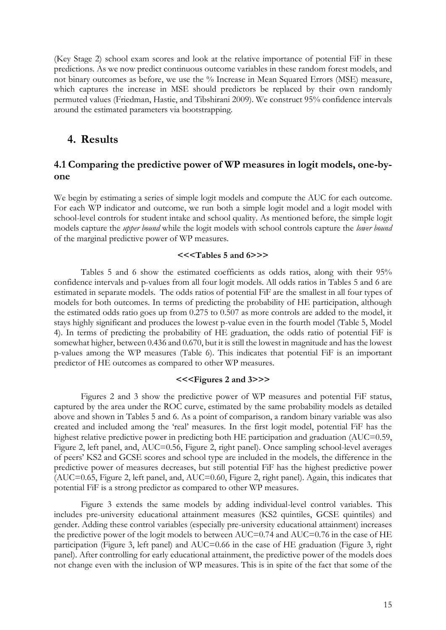(Key Stage 2) school exam scores and look at the relative importance of potential FiF in these predictions. As we now predict continuous outcome variables in these random forest models, and not binary outcomes as before, we use the % Increase in Mean Squared Errors (MSE) measure, which captures the increase in MSE should predictors be replaced by their own randomly permuted values (Friedman, Hastie, and Tibshirani 2009). We construct 95% confidence intervals around the estimated parameters via bootstrapping.

## **4. Results**

## **4.1 Comparing the predictive power of WP measures in logit models, one-byone**

We begin by estimating a series of simple logit models and compute the AUC for each outcome. For each WP indicator and outcome, we run both a simple logit model and a logit model with school-level controls for student intake and school quality. As mentioned before, the simple logit models capture the *upper bound* while the logit models with school controls capture the *lower bound* of the marginal predictive power of WP measures.

#### **<<<Tables [5](#page-28-0) and [6>](#page-29-0)>>**

Tables [5](#page-28-0) and [6](#page-29-0) show the estimated coefficients as odds ratios, along with their 95% confidence intervals and p-values from all four logit models. All odds ratios in Tables [5](#page-28-0) and [6](#page-29-0) are estimated in separate models. The odds ratios of potential FiF are the smallest in all four types of models for both outcomes. In terms of predicting the probability of HE participation, although the estimated odds ratio goes up from 0.275 to 0.507 as more controls are added to the model, it stays highly significant and produces the lowest p-value even in the fourth model [\(Table 5,](#page-28-0) Model 4). In terms of predicting the probability of HE graduation, the odds ratio of potential FiF is somewhat higher, between 0.436 and 0.670, but it is still the lowest in magnitude and has the lowest p-values among the WP measures [\(Table 6\)](#page-29-0). This indicates that potential FiF is an important predictor of HE outcomes as compared to other WP measures.

#### **<<<Figures [2](#page-32-1) and [3>](#page-33-0)>>**

Figures [2](#page-32-1) and [3](#page-33-0) show the predictive power of WP measures and potential FiF status, captured by the area under the ROC curve, estimated by the same probability models as detailed above and shown in Tables [5](#page-28-0) and [6.](#page-29-0) As a point of comparison, a random binary variable was also created and included among the 'real' measures. In the first logit model, potential FiF has the highest relative predictive power in predicting both HE participation and graduation (AUC=0.59, [Figure 2,](#page-32-1) left panel, and, AUC=0.56, [Figure 2,](#page-32-1) right panel). Once sampling school-level averages of peers' KS2 and GCSE scores and school type are included in the models, the difference in the predictive power of measures decreases, but still potential FiF has the highest predictive power (AUC=0.65, Figure [2,](#page-32-1) left panel, and, AUC=0.60, Figure [2,](#page-32-1) right panel). Again, this indicates that potential FiF is a strong predictor as compared to other WP measures.

Figure [3](#page-33-0) extends the same models by adding individual-level control variables. This includes pre-university educational attainment measures (KS2 quintiles, GCSE quintiles) and gender. Adding these control variables (especially pre-university educational attainment) increases the predictive power of the logit models to between AUC=0.74 and AUC=0.76 in the case of HE participation (Figure [3,](#page-33-0) left panel) and AUC=0.66 in the case of HE graduation (Figure [3,](#page-33-0) right panel). After controlling for early educational attainment, the predictive power of the models does not change even with the inclusion of WP measures. This is in spite of the fact that some of the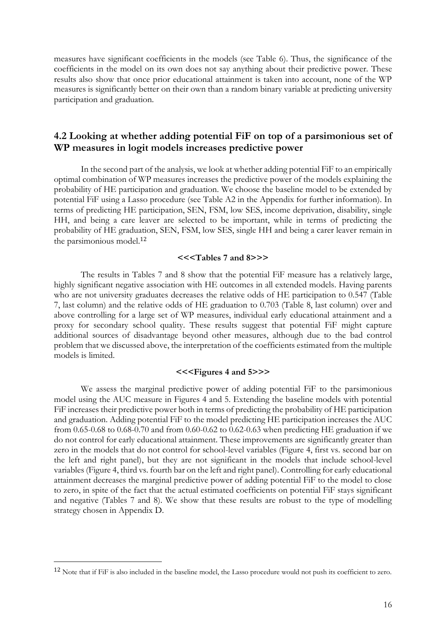measures have significant coefficients in the models (see Table [6\)](#page-29-0). Thus, the significance of the coefficients in the model on its own does not say anything about their predictive power. These results also show that once prior educational attainment is taken into account, none of the WP measures is significantly better on their own than a random binary variable at predicting university participation and graduation.

## **4.2 Looking at whether adding potential FiF on top of a parsimonious set of WP measures in logit models increases predictive power**

In the second part of the analysis, we look at whether adding potential FiF to an empirically optimal combination of WP measures increases the predictive power of the models explaining the probability of HE participation and graduation. We choose the baseline model to be extended by potential FiF using a Lasso procedure (see Table A2 in the Appendix for further information). In terms of predicting HE participation, SEN, FSM, low SES, income deprivation, disability, single HH, and being a care leaver are selected to be important, while in terms of predicting the probability of HE graduation, SEN, FSM, low SES, single HH and being a carer leaver remain in the parsimonious model.<sup>12</sup>

#### **<<<Tables [7](#page-30-0) and [8>](#page-31-0)>>**

The results in Tables [7](#page-30-0) and [8](#page-31-0) show that the potential FiF measure has a relatively large, highly significant negative association with HE outcomes in all extended models. Having parents who are not university graduates decreases the relative odds of HE participation to 0.547 (Table [7,](#page-30-0) last column) and the relative odds of HE graduation to 0.703 (Table [8,](#page-31-0) last column) over and above controlling for a large set of WP measures, individual early educational attainment and a proxy for secondary school quality. These results suggest that potential FiF might capture additional sources of disadvantage beyond other measures, although due to the bad control problem that we discussed above, the interpretation of the coefficients estimated from the multiple models is limited.

### **<<<Figures [4](#page-33-1) and [5>](#page-34-0)>>**

We assess the marginal predictive power of adding potential FiF to the parsimonious model using the AUC measure in Figures [4](#page-33-1) and [5.](#page-34-0) Extending the baseline models with potential FiF increases their predictive power both in terms of predicting the probability of HE participation and graduation. Adding potential FiF to the model predicting HE participation increases the AUC from 0.65-0.68 to 0.68-0.70 and from 0.60-0.62 to 0.62-0.63 when predicting HE graduation if we do not control for early educational attainment. These improvements are significantly greater than zero in the models that do not control for school-level variables (Figure [4,](#page-33-1) first vs. second bar on the left and right panel), but they are not significant in the models that include school-level variables (Figure [4,](#page-33-1) third vs. fourth bar on the left and right panel). Controlling for early educational attainment decreases the marginal predictive power of adding potential FiF to the model to close to zero, in spite of the fact that the actual estimated coefficients on potential FiF stays significant and negative (Tables [7](#page-30-0) and [8\)](#page-31-0). We show that these results are robust to the type of modelling strategy chosen in Appendix D.

<u>.</u>

<sup>12</sup> Note that if FiF is also included in the baseline model, the Lasso procedure would not push its coefficient to zero.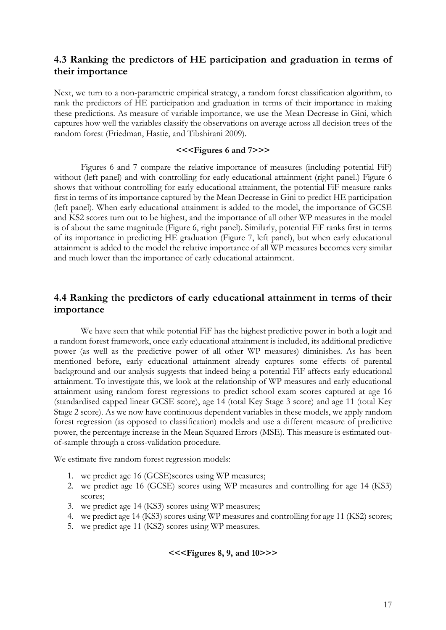## **4.3 Ranking the predictors of HE participation and graduation in terms of their importance**

Next, we turn to a non-parametric empirical strategy, a random forest classification algorithm, to rank the predictors of HE participation and graduation in terms of their importance in making these predictions. As measure of variable importance, we use the Mean Decrease in Gini, which captures how well the variables classify the observations on average across all decision trees of the random forest (Friedman, Hastie, and Tibshirani 2009).

#### **<<<Figures [6](#page-34-1) and [7>](#page-35-0)>>**

Figures [6](#page-34-1) and [7](#page-35-0) compare the relative importance of measures (including potential FiF) without (left panel) and with controlling for early educational attainment (right panel.) Figure [6](#page-34-1) shows that without controlling for early educational attainment, the potential FiF measure ranks first in terms of its importance captured by the Mean Decrease in Gini to predict HE participation (left panel). When early educational attainment is added to the model, the importance of GCSE and KS2 scores turn out to be highest, and the importance of all other WP measures in the model is of about the same magnitude (Figure [6,](#page-34-1) right panel). Similarly, potential FiF ranks first in terms of its importance in predicting HE graduation (Figure [7,](#page-35-0) left panel), but when early educational attainment is added to the model the relative importance of all WP measures becomes very similar and much lower than the importance of early educational attainment.

## **4.4 Ranking the predictors of early educational attainment in terms of their importance**

We have seen that while potential FiF has the highest predictive power in both a logit and a random forest framework, once early educational attainment is included, its additional predictive power (as well as the predictive power of all other WP measures) diminishes. As has been mentioned before, early educational attainment already captures some effects of parental background and our analysis suggests that indeed being a potential FiF affects early educational attainment. To investigate this, we look at the relationship of WP measures and early educational attainment using random forest regressions to predict school exam scores captured at age 16 (standardised capped linear GCSE score), age 14 (total Key Stage 3 score) and age 11 (total Key Stage 2 score). As we now have continuous dependent variables in these models, we apply random forest regression (as opposed to classification) models and use a different measure of predictive power, the percentage increase in the Mean Squared Errors (MSE). This measure is estimated outof-sample through a cross-validation procedure.

We estimate five random forest regression models:

- 1. we predict age 16 (GCSE)scores using WP measures;
- 2. we predict age 16 (GCSE) scores using WP measures and controlling for age 14 (KS3) scores;
- 3. we predict age 14 (KS3) scores using WP measures;
- 4. we predict age 14 (KS3) scores using WP measures and controlling for age 11 (KS2) scores;
- 5. we predict age 11 (KS2) scores using WP measures.

## **<<<Figures [8,](#page-35-1) [9,](#page-36-0) and [10>](#page-36-1)>>**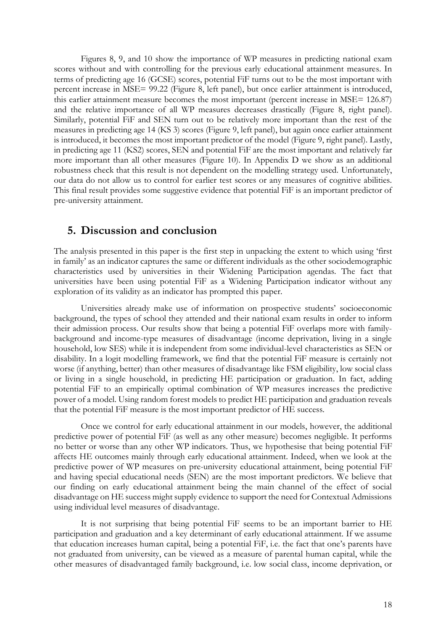Figures [8,](#page-35-1) [9,](#page-36-0) and [10](#page-36-1) show the importance of WP measures in predicting national exam scores without and with controlling for the previous early educational attainment measures. In terms of predicting age 16 (GCSE) scores, potential FiF turns out to be the most important with percent increase in MSE= 99.22 (Figure [8,](#page-35-1) left panel), but once earlier attainment is introduced, this earlier attainment measure becomes the most important (percent increase in MSE= 126.87) and the relative importance of all WP measures decreases drastically (Figure [8,](#page-35-1) right panel). Similarly, potential FiF and SEN turn out to be relatively more important than the rest of the measures in predicting age 14 (KS 3) scores (Figure [9,](#page-36-0) left panel), but again once earlier attainment is introduced, it becomes the most important predictor of the model (Figure [9,](#page-36-0) right panel). Lastly, in predicting age 11 (KS2) scores, SEN and potential FiF are the most important and relatively far more important than all other measures (Figure [10\)](#page-36-1). In Appendix D we show as an additional robustness check that this result is not dependent on the modelling strategy used. Unfortunately, our data do not allow us to control for earlier test scores or any measures of cognitive abilities. This final result provides some suggestive evidence that potential FiF is an important predictor of pre-university attainment.

## **5. Discussion and conclusion**

The analysis presented in this paper is the first step in unpacking the extent to which using 'first in family' as an indicator captures the same or different individuals as the other sociodemographic characteristics used by universities in their Widening Participation agendas. The fact that universities have been using potential FiF as a Widening Participation indicator without any exploration of its validity as an indicator has prompted this paper.

Universities already make use of information on prospective students' socioeconomic background, the types of school they attended and their national exam results in order to inform their admission process. Our results show that being a potential FiF overlaps more with familybackground and income-type measures of disadvantage (income deprivation, living in a single household, low SES) while it is independent from some individual-level characteristics as SEN or disability. In a logit modelling framework, we find that the potential FiF measure is certainly not worse (if anything, better) than other measures of disadvantage like FSM eligibility, low social class or living in a single household, in predicting HE participation or graduation. In fact, adding potential FiF to an empirically optimal combination of WP measures increases the predictive power of a model. Using random forest models to predict HE participation and graduation reveals that the potential FiF measure is the most important predictor of HE success.

Once we control for early educational attainment in our models, however, the additional predictive power of potential FiF (as well as any other measure) becomes negligible. It performs no better or worse than any other WP indicators. Thus, we hypothesise that being potential FiF affects HE outcomes mainly through early educational attainment. Indeed, when we look at the predictive power of WP measures on pre-university educational attainment, being potential FiF and having special educational needs (SEN) are the most important predictors. We believe that our finding on early educational attainment being the main channel of the effect of social disadvantage on HE success might supply evidence to support the need for Contextual Admissions using individual level measures of disadvantage.

It is not surprising that being potential FiF seems to be an important barrier to HE participation and graduation and a key determinant of early educational attainment. If we assume that education increases human capital, being a potential FiF, i.e. the fact that one's parents have not graduated from university, can be viewed as a measure of parental human capital, while the other measures of disadvantaged family background, i.e. low social class, income deprivation, or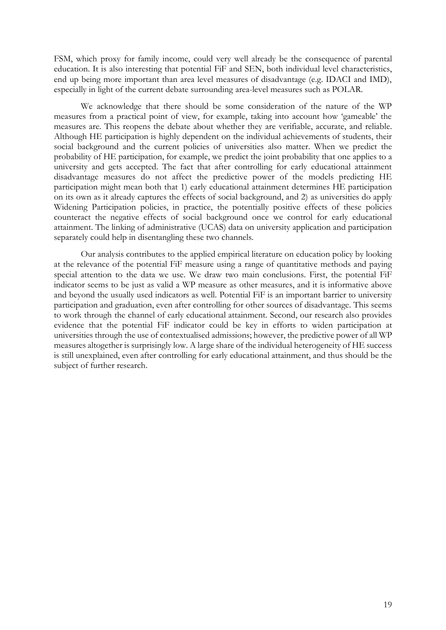FSM, which proxy for family income, could very well already be the consequence of parental education. It is also interesting that potential FiF and SEN, both individual level characteristics, end up being more important than area level measures of disadvantage (e.g. IDACI and IMD), especially in light of the current debate surrounding area-level measures such as POLAR.

We acknowledge that there should be some consideration of the nature of the WP measures from a practical point of view, for example, taking into account how 'gameable' the measures are. This reopens the debate about whether they are verifiable, accurate, and reliable. Although HE participation is highly dependent on the individual achievements of students, their social background and the current policies of universities also matter. When we predict the probability of HE participation, for example, we predict the joint probability that one applies to a university and gets accepted. The fact that after controlling for early educational attainment disadvantage measures do not affect the predictive power of the models predicting HE participation might mean both that 1) early educational attainment determines HE participation on its own as it already captures the effects of social background, and 2) as universities do apply Widening Participation policies, in practice, the potentially positive effects of these policies counteract the negative effects of social background once we control for early educational attainment. The linking of administrative (UCAS) data on university application and participation separately could help in disentangling these two channels.

Our analysis contributes to the applied empirical literature on education policy by looking at the relevance of the potential FiF measure using a range of quantitative methods and paying special attention to the data we use. We draw two main conclusions. First, the potential FiF indicator seems to be just as valid a WP measure as other measures, and it is informative above and beyond the usually used indicators as well. Potential FiF is an important barrier to university participation and graduation, even after controlling for other sources of disadvantage. This seems to work through the channel of early educational attainment. Second, our research also provides evidence that the potential FiF indicator could be key in efforts to widen participation at universities through the use of contextualised admissions; however, the predictive power of all WP measures altogether is surprisingly low. A large share of the individual heterogeneity of HE success is still unexplained, even after controlling for early educational attainment, and thus should be the subject of further research.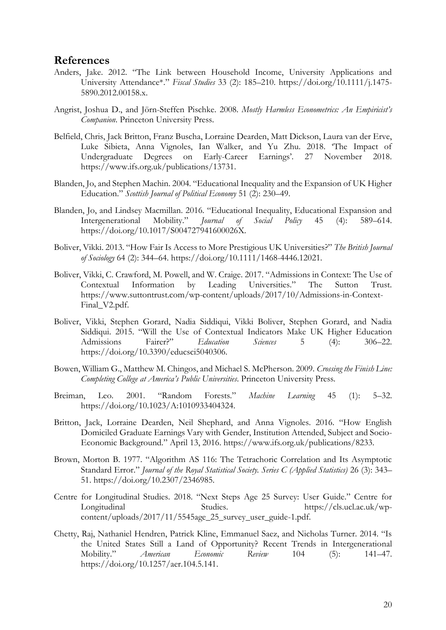## **References**

- Anders, Jake. 2012. "The Link between Household Income, University Applications and University Attendance\*." *Fiscal Studies* 33 (2): 185–210. https://doi.org/10.1111/j.1475- 5890.2012.00158.x.
- Angrist, Joshua D., and Jörn-Steffen Pischke. 2008. *Mostly Harmless Econometrics: An Empiricist's Companion*. Princeton University Press.
- Belfield, Chris, Jack Britton, Franz Buscha, Lorraine Dearden, Matt Dickson, Laura van der Erve, Luke Sibieta, Anna Vignoles, Ian Walker, and Yu Zhu. 2018. 'The Impact of Undergraduate Degrees on Early-Career Earnings'. 27 November 2018. https://www.ifs.org.uk/publications/13731.
- Blanden, Jo, and Stephen Machin. 2004. "Educational Inequality and the Expansion of UK Higher Education." *Scottish Journal of Political Economy* 51 (2): 230–49.
- Blanden, Jo, and Lindsey Macmillan. 2016. "Educational Inequality, Educational Expansion and Intergenerational Mobility." *Journal of Social Policy* 45 (4): 589–614. https://doi.org/10.1017/S004727941600026X.
- Boliver, Vikki. 2013. "How Fair Is Access to More Prestigious UK Universities?" *The British Journal of Sociology* 64 (2): 344–64. https://doi.org/10.1111/1468-4446.12021.
- Boliver, Vikki, C. Crawford, M. Powell, and W. Craige. 2017. "Admissions in Context: The Use of Contextual Information by Leading Universities." The Sutton Trust. https://www.suttontrust.com/wp-content/uploads/2017/10/Admissions-in-Context-Final\_V2.pdf.
- Boliver, Vikki, Stephen Gorard, Nadia Siddiqui, Vikki Boliver, Stephen Gorard, and Nadia Siddiqui. 2015. "Will the Use of Contextual Indicators Make UK Higher Education Admissions Fairer?" *Education Sciences* 5 (4): 306–22. https://doi.org/10.3390/educsci5040306.
- Bowen, William G., Matthew M. Chingos, and Michael S. McPherson. 2009. *Crossing the Finish Line: Completing College at America's Public Universities*. Princeton University Press.
- Breiman, Leo. 2001. "Random Forests." *Machine Learning* 45 (1): 5–32. https://doi.org/10.1023/A:1010933404324.
- Britton, Jack, Lorraine Dearden, Neil Shephard, and Anna Vignoles. 2016. "How English Domiciled Graduate Earnings Vary with Gender, Institution Attended, Subject and Socio-Economic Background." April 13, 2016. https://www.ifs.org.uk/publications/8233.
- Brown, Morton B. 1977. "Algorithm AS 116: The Tetrachoric Correlation and Its Asymptotic Standard Error." *Journal of the Royal Statistical Society. Series C (Applied Statistics)* 26 (3): 343– 51. https://doi.org/10.2307/2346985.
- Centre for Longitudinal Studies. 2018. "Next Steps Age 25 Survey: User Guide." Centre for Longitudinal Studies. https://cls.ucl.ac.uk/wpcontent/uploads/2017/11/5545age\_25\_survey\_user\_guide-1.pdf.
- Chetty, Raj, Nathaniel Hendren, Patrick Kline, Emmanuel Saez, and Nicholas Turner. 2014. "Is the United States Still a Land of Opportunity? Recent Trends in Intergenerational Mobility." *American Economic Review* 104 (5): 141–47. https://doi.org/10.1257/aer.104.5.141.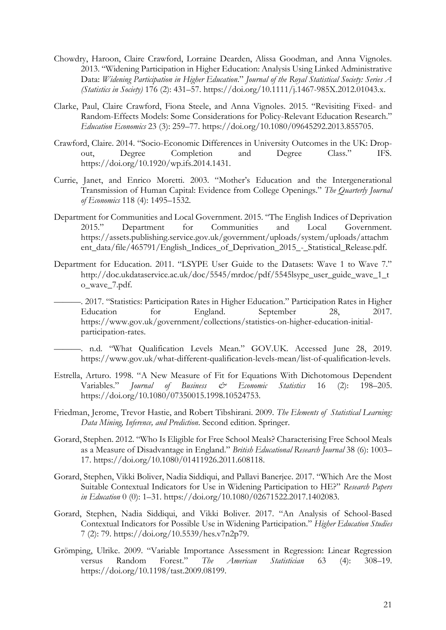- Chowdry, Haroon, Claire Crawford, Lorraine Dearden, Alissa Goodman, and Anna Vignoles. 2013. "Widening Participation in Higher Education: Analysis Using Linked Administrative Data: *Widening Participation in Higher Education*." *Journal of the Royal Statistical Society: Series A (Statistics in Society)* 176 (2): 431–57. https://doi.org/10.1111/j.1467-985X.2012.01043.x.
- Clarke, Paul, Claire Crawford, Fiona Steele, and Anna Vignoles. 2015. "Revisiting Fixed- and Random-Effects Models: Some Considerations for Policy-Relevant Education Research." *Education Economics* 23 (3): 259–77. https://doi.org/10.1080/09645292.2013.855705.
- Crawford, Claire. 2014. "Socio-Economic Differences in University Outcomes in the UK: Dropout, Degree Completion and Degree Class." IFS. https://doi.org/10.1920/wp.ifs.2014.1431.
- Currie, Janet, and Enrico Moretti. 2003. "Mother's Education and the Intergenerational Transmission of Human Capital: Evidence from College Openings." *The Quarterly Journal of Economics* 118 (4): 1495–1532.
- Department for Communities and Local Government. 2015. "The English Indices of Deprivation 2015." Department for Communities and Local Government. https://assets.publishing.service.gov.uk/government/uploads/system/uploads/attachm ent\_data/file/465791/English\_Indices\_of\_Deprivation\_2015\_-\_Statistical\_Release.pdf.
- Department for Education. 2011. "LSYPE User Guide to the Datasets: Wave 1 to Wave 7." http://doc.ukdataservice.ac.uk/doc/5545/mrdoc/pdf/5545lsype\_user\_guide\_wave\_1\_t o\_wave\_7.pdf.
- ———. 2017. "Statistics: Participation Rates in Higher Education." Participation Rates in Higher Education for England. September 28, 2017. https://www.gov.uk/government/collections/statistics-on-higher-education-initialparticipation-rates.
	- ———. n.d. "What Qualification Levels Mean." GOV.UK. Accessed June 28, 2019. https://www.gov.uk/what-different-qualification-levels-mean/list-of-qualification-levels.
- Estrella, Arturo. 1998. "A New Measure of Fit for Equations With Dichotomous Dependent<br>Variables." *Journal of Business & Economic Statistics* 16 (2): 198–205. Variables." *Journal of Business & Economic Statistics* 16 (2): 198–205. https://doi.org/10.1080/07350015.1998.10524753.
- Friedman, Jerome, Trevor Hastie, and Robert Tibshirani. 2009. *The Elements of Statistical Learning: Data Mining, Inference, and Prediction*. Second edition. Springer.
- Gorard, Stephen. 2012. "Who Is Eligible for Free School Meals? Characterising Free School Meals as a Measure of Disadvantage in England." *British Educational Research Journal* 38 (6): 1003– 17. https://doi.org/10.1080/01411926.2011.608118.
- Gorard, Stephen, Vikki Boliver, Nadia Siddiqui, and Pallavi Banerjee. 2017. "Which Are the Most Suitable Contextual Indicators for Use in Widening Participation to HE?" *Research Papers in Education* 0 (0): 1–31. https://doi.org/10.1080/02671522.2017.1402083.
- Gorard, Stephen, Nadia Siddiqui, and Vikki Boliver. 2017. "An Analysis of School-Based Contextual Indicators for Possible Use in Widening Participation." *Higher Education Studies* 7 (2): 79. https://doi.org/10.5539/hes.v7n2p79.
- Grömping, Ulrike. 2009. "Variable Importance Assessment in Regression: Linear Regression versus Random Forest." *The American Statistician* 63 (4): 308–19. https://doi.org/10.1198/tast.2009.08199.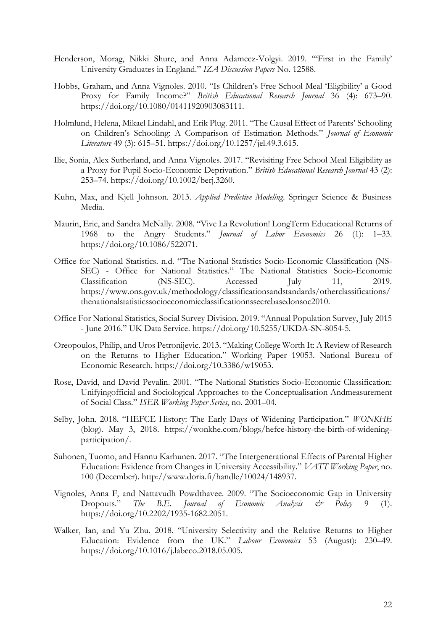- Henderson, Morag, Nikki Shure, and Anna Adamecz-Volgyi. 2019. "'First in the Family' University Graduates in England." *IZA Discussion Papers* No. 12588.
- Hobbs, Graham, and Anna Vignoles. 2010. "Is Children's Free School Meal 'Eligibility' a Good Proxy for Family Income?" *British Educational Research Journal* 36 (4): 673–90. https://doi.org/10.1080/01411920903083111.
- Holmlund, Helena, Mikael Lindahl, and Erik Plug. 2011. "The Causal Effect of Parents' Schooling on Children's Schooling: A Comparison of Estimation Methods." *Journal of Economic Literature* 49 (3): 615–51. https://doi.org/10.1257/jel.49.3.615.
- Ilie, Sonia, Alex Sutherland, and Anna Vignoles. 2017. "Revisiting Free School Meal Eligibility as a Proxy for Pupil Socio-Economic Deprivation." *British Educational Research Journal* 43 (2): 253–74. https://doi.org/10.1002/berj.3260.
- Kuhn, Max, and Kjell Johnson. 2013. *Applied Predictive Modeling*. Springer Science & Business Media.
- Maurin, Eric, and Sandra McNally. 2008. "Vive La Revolution! LongTerm Educational Returns of 1968 to the Angry Students." *Journal of Labor Economics* 26 (1): 1–33. https://doi.org/10.1086/522071.
- Office for National Statistics. n.d. "The National Statistics Socio-Economic Classification (NS-SEC) - Office for National Statistics." The National Statistics Socio-Economic Classification (NS-SEC). Accessed July 11, 2019. https://www.ons.gov.uk/methodology/classificationsandstandards/otherclassifications/ thenationalstatisticssocioeconomicclassificationnssecrebasedonsoc2010.
- Office For National Statistics, Social Survey Division. 2019. "Annual Population Survey, July 2015 - June 2016." UK Data Service. https://doi.org/10.5255/UKDA-SN-8054-5.
- Oreopoulos, Philip, and Uros Petronijevic. 2013. "Making College Worth It: A Review of Research on the Returns to Higher Education." Working Paper 19053. National Bureau of Economic Research. https://doi.org/10.3386/w19053.
- Rose, David, and David Pevalin. 2001. "The National Statistics Socio-Economic Classification: Unifyingofficial and Sociological Approaches to the Conceptualisation Andmeasurement of Social Class." *ISER Working Paper Series*, no. 2001–04.
- Selby, John. 2018. "HEFCE History: The Early Days of Widening Participation." *WONKHE* (blog). May 3, 2018. https://wonkhe.com/blogs/hefce-history-the-birth-of-wideningparticipation/.
- Suhonen, Tuomo, and Hannu Karhunen. 2017. "The Intergenerational Effects of Parental Higher Education: Evidence from Changes in University Accessibility." *VATT Working Paper*, no. 100 (December). http://www.doria.fi/handle/10024/148937.
- Vignoles, Anna F, and Nattavudh Powdthavee. 2009. "The Socioeconomic Gap in University<br>Dropouts." The B.E. Journal of Economic Analysis & Policy 9 (1). The B.E. Journal of Economic Analysis  $\dot{\mathcal{C}}^s$  Policy 9 (1). https://doi.org/10.2202/1935-1682.2051.
- Walker, Ian, and Yu Zhu. 2018. "University Selectivity and the Relative Returns to Higher Education: Evidence from the UK." *Labour Economics* 53 (August): 230–49. https://doi.org/10.1016/j.labeco.2018.05.005.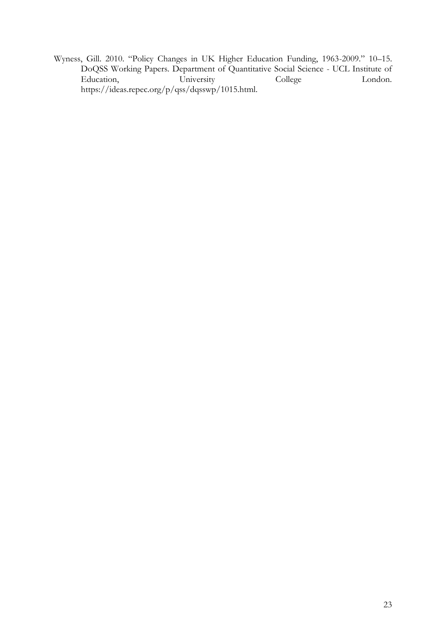Wyness, Gill. 2010. "Policy Changes in UK Higher Education Funding, 1963-2009." 10–15. DoQSS Working Papers. Department of Quantitative Social Science - UCL Institute of Education, University College London. https://ideas.repec.org/p/qss/dqsswp/1015.html.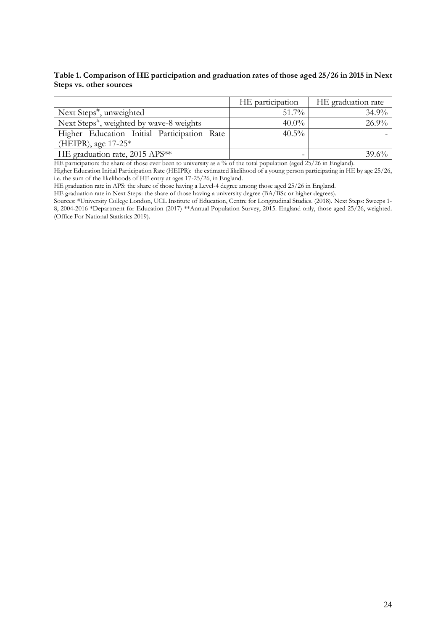<span id="page-25-0"></span>**Table 1. Comparison of HE participation and graduation rates of those aged 25/26 in 2015 in Next Steps vs. other sources**

|                                                      | HE participation | HE graduation rate |
|------------------------------------------------------|------------------|--------------------|
| Next Steps <sup>#</sup> , unweighted                 | $51.7\%$         | 34.9%              |
| Next Steps <sup>#</sup> , weighted by wave-8 weights | $40.0\%$         | 26.9%              |
| Higher Education Initial Participation Rate          | $40.5\%$         |                    |
| (HEIPR), age $17-25^*$                               |                  |                    |
| HE graduation rate, 2015 APS**                       |                  | 39.6%              |

HE participation: the share of those ever been to university as a % of the total population (aged 25/26 in England).

Higher Education Initial Participation Rate (HEIPR): the estimated likelihood of a young person participating in HE by age 25/26, i.e. the sum of the likelihoods of HE entry at ages 17-25/26, in England.

HE graduation rate in APS: the share of those having a Level-4 degree among those aged 25/26 in England.

HE graduation rate in Next Steps: the share of those having a university degree (BA/BSc or higher degrees).

Sources: #University College London, UCL Institute of Education, Centre for Longitudinal Studies. (2018). Next Steps: Sweeps 1- 8, 2004-2016 \*Department for Education (2017) \*\*Annual Population Survey, 2015. England only, those aged 25/26, weighted. (Office For National Statistics 2019).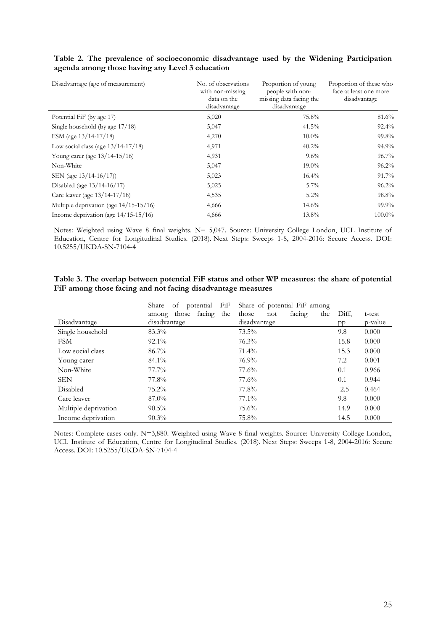| Disadvantage (age of measurement)      | No. of observations<br>with non-missing<br>data on the<br>disadvantage | Proportion of young<br>people with non-<br>missing data facing the<br>disadvantage | Proportion of these who<br>face at least one more<br>disadvantage |
|----------------------------------------|------------------------------------------------------------------------|------------------------------------------------------------------------------------|-------------------------------------------------------------------|
| Potential FiF (by age 17)              | 5,020                                                                  | 75.8%                                                                              | 81.6%                                                             |
| Single household (by age 17/18)        | 5,047                                                                  | $41.5\%$                                                                           | $92.4\%$                                                          |
| FSM (age $13/14-17/18$ )               | 4,270                                                                  | $10.0\%$                                                                           | 99.8%                                                             |
| Low social class (age $13/14-17/18$ )  | 4,971                                                                  | $40.2\%$                                                                           | $94.9\%$                                                          |
| Young carer (age 13/14-15/16)          | 4,931                                                                  | $9.6\%$                                                                            | $96.7\%$                                                          |
| Non-White                              | 5,047                                                                  | $19.0\%$                                                                           | $96.2\%$                                                          |
| SEN (age $13/14-16/17$ )               | 5,023                                                                  | $16.4\%$                                                                           | $91.7\%$                                                          |
| Disabled (age $13/14-16/17$ )          | 5,025                                                                  | $5.7\%$                                                                            | $96.2\%$                                                          |
| Care leaver (age 13/14-17/18)          | 4,535                                                                  | $5.2\%$                                                                            | 98.8%                                                             |
| Multiple deprivation (age 14/15-15/16) | 4,666                                                                  | $14.6\%$                                                                           | $99.9\%$                                                          |
| Income deprivation (age 14/15-15/16)   | 4,666                                                                  | $13.8\%$                                                                           | $100.0\%$                                                         |

<span id="page-26-0"></span>**Table 2. The prevalence of socioeconomic disadvantage used by the Widening Participation agenda among those having any Level 3 education**

Notes: Weighted using Wave 8 final weights. N= 5,047. Source: University College London, UCL Institute of Education, Centre for Longitudinal Studies. (2018). Next Steps: Sweeps 1-8, 2004-2016: Secure Access. DOI: 10.5255/UKDA-SN-7104-4

<span id="page-26-1"></span>**Table 3. The overlap between potential FiF status and other WP measures: the share of potential FiF among those facing and not facing disadvantage measures**

|                      | FiF<br>Share<br>potential<br>of | Share of potential FiF among  |        |         |
|----------------------|---------------------------------|-------------------------------|--------|---------|
|                      | those<br>the<br>facing<br>among | facing<br>those<br>the<br>not | Diff.  | t-test  |
| Disadvantage         | disadvantage                    | disadvantage                  | pp     | p-value |
| Single household     | 83.3%                           | $73.5\%$                      | 9.8    | 0.000   |
| <b>FSM</b>           | $92.1\%$                        | $76.3\%$                      | 15.8   | 0.000   |
| Low social class     | $86.7\%$                        | $71.4\%$                      | 15.3   | 0.000   |
| Young carer          | 84.1%                           | 76.9%                         | 7.2    | 0.001   |
| Non-White            | $77.7\%$                        | 77.6%                         | 0.1    | 0.966   |
| <b>SEN</b>           | 77.8%                           | $77.6\%$                      | 0.1    | 0.944   |
| Disabled             | $75.2\%$                        | 77.8%                         | $-2.5$ | 0.464   |
| Care leaver          | $87.0\%$                        | $77.1\%$                      | 9.8    | 0.000   |
| Multiple deprivation | $90.5\%$                        | $75.6\%$                      | 14.9   | 0.000   |
| Income deprivation   | $90.3\%$                        | 75.8%                         | 14.5   | 0.000   |

Notes: Complete cases only. N=3,880. Weighted using Wave 8 final weights. Source: University College London, UCL Institute of Education, Centre for Longitudinal Studies. (2018). Next Steps: Sweeps 1-8, 2004-2016: Secure Access. DOI: 10.5255/UKDA-SN-7104-4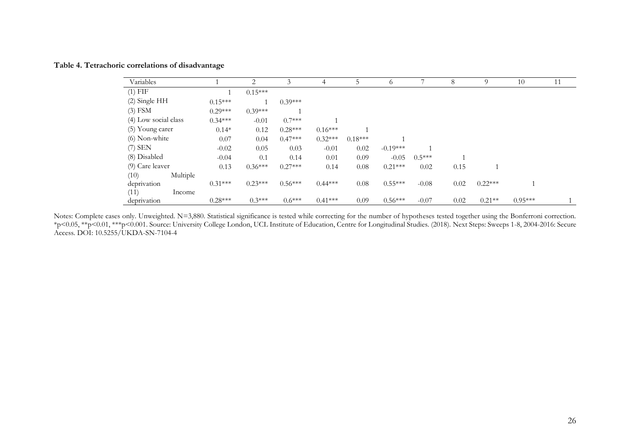| Variables            |           | 2         | 3         | 4         | 5         | 6          | ⇁        | 8    | 9         | 10        | 11 |
|----------------------|-----------|-----------|-----------|-----------|-----------|------------|----------|------|-----------|-----------|----|
| $(1)$ FIF            |           | $0.15***$ |           |           |           |            |          |      |           |           |    |
| (2) Single HH        | $0.15***$ |           | $0.39***$ |           |           |            |          |      |           |           |    |
| $(3)$ FSM            | $0.29***$ | $0.39***$ |           |           |           |            |          |      |           |           |    |
| (4) Low social class | $0.34***$ | $-0.01$   | $0.7***$  |           |           |            |          |      |           |           |    |
| (5) Young carer      | $0.14*$   | 0.12      | $0.28***$ | $0.16***$ |           |            |          |      |           |           |    |
| $(6)$ Non-white      | 0.07      | 0.04      | $0.47***$ | $0.32***$ | $0.18***$ |            |          |      |           |           |    |
| $(7)$ SEN            | $-0.02$   | 0.05      | 0.03      | $-0.01$   | 0.02      | $-0.19***$ |          |      |           |           |    |
| (8) Disabled         | $-0.04$   | 0.1       | 0.14      | 0.01      | 0.09      | $-0.05$    | $0.5***$ |      |           |           |    |
| (9) Care leaver      | 0.13      | $0.36***$ | $0.27***$ | 0.14      | 0.08      | $0.21***$  | 0.02     | 0.15 |           |           |    |
| Multiple<br>(10)     |           |           |           |           |           |            |          |      |           |           |    |
| deprivation          | $0.31***$ | $0.23***$ | $0.56***$ | $0.44***$ | 0.08      | $0.55***$  | $-0.08$  | 0.02 | $0.22***$ |           |    |
| (11)<br>Income       |           |           |           |           |           |            |          |      |           |           |    |
| deprivation          | $0.28***$ | $0.3***$  | $0.6***$  | $0.41***$ | 0.09      | $0.56***$  | $-0.07$  | 0.02 | $0.21**$  | $0.95***$ |    |

<span id="page-27-0"></span>Notes: Complete cases only. Unweighted. N=3,880. Statistical significance is tested while correcting for the number of hypotheses tested together using the Bonferroni correction. \*p<0.05, \*\*p<0.01, \*\*\*p<0.001. Source: University College London, UCL Institute of Education, Centre for Longitudinal Studies. (2018). Next Steps: Sweeps 1-8, 2004-2016: Secure Access. DOI: 10.5255/UKDA-SN-7104-4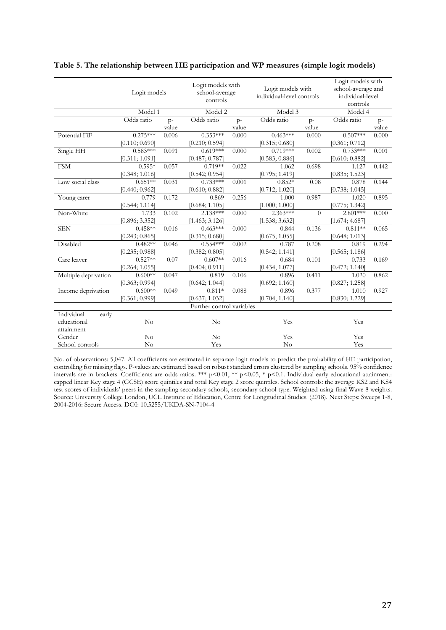|                      | Logit models   |       | Logit models with<br>school-average<br>controls |       | Logit models with<br>individual-level controls |          | Logit models with<br>school-average and<br>individual-level<br>controls |       |
|----------------------|----------------|-------|-------------------------------------------------|-------|------------------------------------------------|----------|-------------------------------------------------------------------------|-------|
|                      | Model 1        |       | Model 2                                         |       | Model 3                                        |          | Model 4                                                                 |       |
|                      | Odds ratio     | $p-$  | Odds ratio                                      | $p-$  | Odds ratio                                     | $p-$     | Odds ratio                                                              | $P^-$ |
|                      |                | value |                                                 | value |                                                | value    |                                                                         | value |
| Potential FiF        | $0.275***$     | 0.006 | $0.353***$                                      | 0.000 | $0.463***$                                     | 0.000    | $0.507***$                                                              | 0.000 |
|                      | [0.110; 0.690] |       | [0.210; 0.594]                                  |       | [0.315; 0.680]                                 |          | [0.361; 0.712]                                                          |       |
| Single HH            | $0.583***$     | 0.091 | $0.619***$                                      | 0.000 | $0.719***$                                     | 0.002    | $0.733***$                                                              | 0.001 |
|                      | [0.311; 1.091] |       | [0.487; 0.787]                                  |       | [0.583; 0.886]                                 |          | [0.610; 0.882]                                                          |       |
| <b>FSM</b>           | $0.595*$       | 0.057 | $0.719**$                                       | 0.022 | 1.062                                          | 0.698    | 1.127                                                                   | 0.442 |
|                      | [0.348; 1.016] |       | [0.542; 0.954]                                  |       | [0.795; 1.419]                                 |          | [0.835; 1.523]                                                          |       |
| Low social class     | $0.651**$      | 0.031 | $0.733***$                                      | 0.001 | $0.852*$                                       | 0.08     | 0.878                                                                   | 0.144 |
|                      | [0.440; 0.962] |       | [0.610; 0.882]                                  |       | [0.712; 1.020]                                 |          | [0.738; 1.045]                                                          |       |
| Young carer          | 0.779          | 0.172 | 0.869                                           | 0.256 | 1.000                                          | 0.987    | 1.020                                                                   | 0.895 |
|                      | [0.544; 1.114] |       | [0.684; 1.105]                                  |       | [1.000; 1.000]                                 |          | [0.775; 1.342]                                                          |       |
| Non-White            | 1.733          | 0.102 | 2.138***                                        | 0.000 | $2.363***$                                     | $\Omega$ | $2.801***$                                                              | 0.000 |
|                      | [0.896; 3.352] |       | [1.463; 3.126]                                  |       | [1.538; 3.632]                                 |          | [1.674; 4.687]                                                          |       |
| <b>SEN</b>           | $0.458**$      | 0.016 | $0.463***$                                      | 0.000 | 0.844                                          | 0.136    | $0.811**$                                                               | 0.065 |
|                      | [0.243; 0.865] |       | [0.315; 0.680]                                  |       | [0.675; 1.055]                                 |          | [0.648; 1.013]                                                          |       |
| Disabled             | $0.482**$      | 0.046 | $0.554***$                                      | 0.002 | 0.787                                          | 0.208    | 0.819                                                                   | 0.294 |
|                      | [0.235; 0.988] |       | [0.382; 0.805]                                  |       | [0.542; 1.141]                                 |          | [0.565; 1.186]                                                          |       |
| Care leaver          | $0.527**$      | 0.07  | $0.607**$                                       | 0.016 | 0.684                                          | 0.101    | 0.733                                                                   | 0.169 |
|                      | [0.264; 1.055] |       | [0.404; 0.911]                                  |       | [0.434; 1.077]                                 |          | [0.472; 1.140]                                                          |       |
| Multiple deprivation | $0.600**$      | 0.047 | 0.819                                           | 0.106 | 0.896                                          | 0.411    | 1.020                                                                   | 0.862 |
|                      | [0.363; 0.994] |       | [0.642; 1.044]                                  |       | [0.692; 1.160]                                 |          | [0.827; 1.258]                                                          |       |
| Income deprivation   | $0.600**$      | 0.049 | $0.811*$                                        | 0.088 | 0.896                                          | 0.377    | 1.010                                                                   | 0.927 |
|                      | [0.361; 0.999] |       | [0.637; 1.032]                                  |       | [0.704; 1.140]                                 |          | [0.830; 1.229]                                                          |       |
|                      |                |       | Further control variables                       |       |                                                |          |                                                                         |       |
| Individual<br>early  |                |       |                                                 |       |                                                |          |                                                                         |       |
| educational          | No             |       | No                                              |       | Yes                                            |          | Yes                                                                     |       |
| attainment           |                |       |                                                 |       |                                                |          |                                                                         |       |
| Gender               | $\rm No$       |       | No                                              |       | Yes                                            |          | Yes                                                                     |       |
| School controls      | $\rm No$       |       | Yes                                             |       | No                                             |          | Yes                                                                     |       |

#### <span id="page-28-0"></span>**Table 5. The relationship between HE participation and WP measures (simple logit models)**

No. of observations: 5,047. All coefficients are estimated in separate logit models to predict the probability of HE participation, controlling for missing flags. P-values are estimated based on robust standard errors clustered by sampling schools. 95% confidence intervals are in brackets. Coefficients are odds ratios. \*\*\* p<0.01, \*\* p<0.05, \* p<0.1. Individual early educational attainment: capped linear Key stage 4 (GCSE) score quintiles and total Key stage 2 score quintiles. School controls: the average KS2 and KS4 test scores of individuals' peers in the sampling secondary schools, secondary school type. Weighted using final Wave 8 weights. Source: University College London, UCL Institute of Education, Centre for Longitudinal Studies. (2018). Next Steps: Sweeps 1-8, 2004-2016: Secure Access. DOI: 10.5255/UKDA-SN-7104-4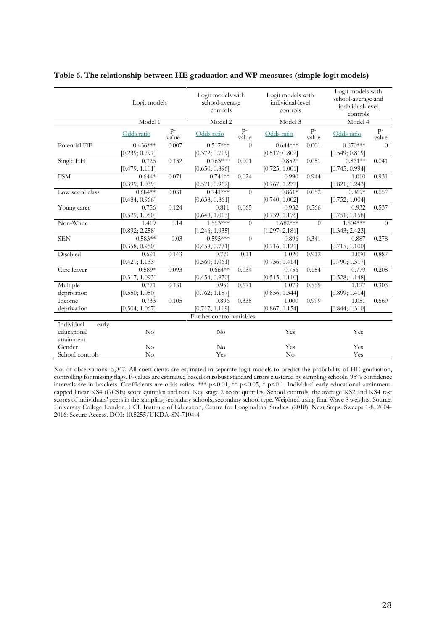|                     | Logit models   |               | Logit models with<br>school-average<br>controls |               | Logit models with<br>individual-level<br>controls |                | Logit models with<br>school-average and<br>individual-level<br>controls |               |
|---------------------|----------------|---------------|-------------------------------------------------|---------------|---------------------------------------------------|----------------|-------------------------------------------------------------------------|---------------|
|                     | Model 1        |               | Model 2                                         |               | Model 3                                           |                | Model 4                                                                 |               |
|                     | Odds ratio     | $p-$<br>value | Odds ratio                                      | $P-$<br>value | Odds ratio                                        | $P^-$<br>value | Odds ratio                                                              | $p-$<br>value |
| Potential FiF       | $0.436***$     | 0.007         | $0.517***$                                      | $\theta$      | $0.644***$                                        | 0.001          | $0.670***$                                                              | $\Omega$      |
|                     | [0.239; 0.797] |               | [0.372; 0.719]                                  |               | [0.517; 0.802]                                    |                | [0.549; 0.819]                                                          |               |
| Single HH           | 0.726          | 0.132         | $0.763***$                                      | 0.001         | $0.852*$                                          | 0.051          | $0.861**$                                                               | 0.041         |
|                     | [0.479; 1.101] |               | [0.650; 0.896]                                  |               | [0.725; 1.001]                                    |                | [0.745; 0.994]                                                          |               |
| <b>FSM</b>          | $0.644*$       | 0.071         | $0.741**$                                       | 0.024         | 0.990                                             | 0.944          | 1.010                                                                   | 0.931         |
|                     | [0.399; 1.039] |               | [0.571; 0.962]                                  |               | [0.767; 1.277]                                    |                | [0.821; 1.243]                                                          |               |
| Low social class    | $0.684**$      | 0.031         | $0.741***$                                      | $\theta$      | $0.861*$                                          | 0.052          | $0.869*$                                                                | 0.057         |
|                     | [0.484; 0.966] |               | [0.638; 0.861]                                  |               | [0.740; 1.002]                                    |                | [0.752; 1.004]                                                          |               |
| Young carer         | 0.756          | 0.124         | 0.811                                           | 0.065         | 0.932                                             | 0.566          | 0.932                                                                   | 0.537         |
|                     | [0.529; 1.080] |               | [0.648; 1.013]                                  |               | [0.739; 1.176]                                    |                | [0.751; 1.158]                                                          |               |
| Non-White           | 1.419          | 0.14          | 1.553***                                        | $\theta$      | 1.682***                                          | $\Omega$       | $1.804***$                                                              | $\Omega$      |
|                     | [0.892; 2.258] |               | [1.246; 1.935]                                  |               | [1.297; 2.181]                                    |                | [1.343; 2.423]                                                          |               |
| <b>SEN</b>          | $0.583**$      | 0.03          | $0.595***$                                      | $\theta$      | 0.896                                             | 0.341          | 0.887                                                                   | 0.278         |
|                     | [0.358; 0.950] |               | [0.458; 0.771]                                  |               | [0.716; 1.121]                                    |                | [0.715; 1.100]                                                          |               |
| Disabled            | 0.691          | 0.143         | 0.771                                           | 0.11          | 1.020                                             | 0.912          | 1.020                                                                   | 0.887         |
|                     | [0.421; 1.133] |               | [0.560; 1.061]                                  |               | [0.736; 1.414]                                    |                | [0.790; 1.317]                                                          |               |
| Care leaver         | $0.589*$       | 0.093         | $0.664**$                                       | 0.034         | 0.756                                             | 0.154          | 0.779                                                                   | 0.208         |
|                     | [0.317; 1.093] |               | [0.454; 0.970]                                  |               | [0.515; 1.110]                                    |                | [0.528; 1.148]                                                          |               |
| Multiple            | 0.771          | 0.131         | 0.951                                           | 0.671         | 1.073                                             | 0.555          | 1.127                                                                   | 0.303         |
| deprivation         | [0.550; 1.080] |               | [0.762; 1.187]                                  |               | [0.856; 1.344]                                    |                | [0.899; 1.414]                                                          |               |
| Income              | 0.733          | 0.105         | 0.896                                           | 0.338         | 1.000                                             | 0.999          | 1.051                                                                   | 0.669         |
| deprivation         | [0.504; 1.067] |               | [0.717; 1.119]                                  |               | [0.867; 1.154]                                    |                | [0.844; 1.310]                                                          |               |
|                     |                |               | Further control variables                       |               |                                                   |                |                                                                         |               |
| Individual<br>early |                |               |                                                 |               |                                                   |                |                                                                         |               |
| educational         | $\rm No$       |               | $\rm No$                                        |               | Yes                                               |                | Yes                                                                     |               |
| attainment          |                |               |                                                 |               |                                                   |                |                                                                         |               |
| Gender              | No             |               | No                                              |               | Yes                                               |                | Yes                                                                     |               |
| School controls     | No             |               | Yes                                             |               | No                                                |                | Yes                                                                     |               |

#### <span id="page-29-0"></span>**Table 6. The relationship between HE graduation and WP measures (simple logit models)**

No. of observations: 5,047. All coefficients are estimated in separate logit models to predict the probability of HE graduation, controlling for missing flags. P-values are estimated based on robust standard errors clustered by sampling schools. 95% confidence intervals are in brackets. Coefficients are odds ratios. \*\*\* p<0.01, \*\* p<0.05, \* p<0.1. Individual early educational attainment: capped linear KS4 (GCSE) score quintiles and total Key stage 2 score quintiles. School controls: the average KS2 and KS4 test scores of individuals' peers in the sampling secondary schools, secondary school type. Weighted using final Wave 8 weights. Source: University College London, UCL Institute of Education, Centre for Longitudinal Studies. (2018). Next Steps: Sweeps 1-8, 2004- 2016: Secure Access. DOI: 10.5255/UKDA-SN-7104-4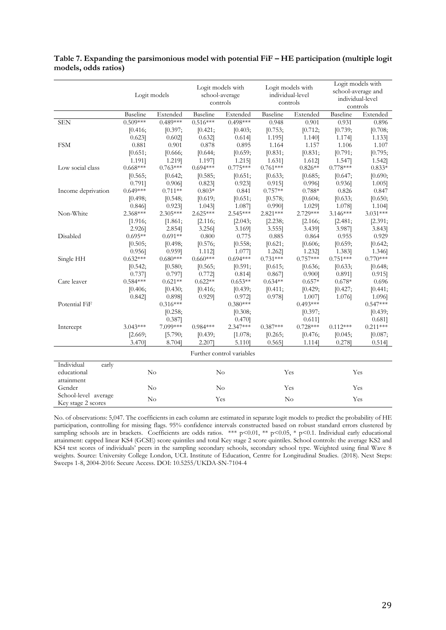|                      |            | Logit models |            | Logit models with<br>school-average<br>controls |            | Logit models with<br>individual-level<br>controls | Logit models with<br>school-average and<br>individual-level<br>controls |            |
|----------------------|------------|--------------|------------|-------------------------------------------------|------------|---------------------------------------------------|-------------------------------------------------------------------------|------------|
|                      | Baseline   | Extended     | Baseline   | Extended                                        | Baseline   | Extended                                          | Baseline                                                                | Extended   |
| <b>SEN</b>           | $0.509***$ | $0.489***$   | $0.516***$ | $0.498***$                                      | 0.948      | 0.901                                             | 0.931                                                                   | 0.896      |
|                      | [0.416;    | [0.397;      | [0.421;    | [0.403;                                         | [0.753;    | [0.712;                                           | [0.739;                                                                 | [0.708;    |
|                      | $0.623$ ]  | $0.602$ ]    | $0.632$ ]  | 0.614]                                          | 1.195]     | 1.140]                                            | 1.174]                                                                  | 1.133]     |
| <b>FSM</b>           | 0.881      | 0.901        | 0.878      | 0.895                                           | 1.164      | 1.157                                             | 1.106                                                                   | 1.107      |
|                      | [0.651;    | [0.666;      | [0.644;    | [0.659;                                         | [0.831;    | [0.831;                                           | [0.791;                                                                 | [0.795;    |
|                      | 1.191]     | 1.219]       | 1.197]     | 1.215]                                          | 1.631]     | 1.612]                                            | 1.547                                                                   | 1.542]     |
| Low social class     | $0.668***$ | $0.763***$   | $0.694***$ | $0.775***$                                      | $0.761***$ | $0.826**$                                         | $0.778***$                                                              | $0.833*$   |
|                      | [0.565;    | [0.642;      | [0.585;    | [0.651;                                         | [0.633;    | [0.685;                                           | [0.647;                                                                 | [0.690;    |
|                      | 0.791]     | 0.906        | $0.823$ ]  | $0.923$ ]                                       | $0.915$ ]  | 0.996                                             | 0.936                                                                   | $1.005$ ]  |
| Income deprivation   | $0.649***$ | $0.711**$    | $0.803*$   | 0.841                                           | $0.757**$  | $0.788*$                                          | 0.826                                                                   | 0.847      |
|                      | [0.498;    | [0.548;      | [0.619;    | [0.651;                                         | [0.578;    | [0.604;                                           | [0.633;                                                                 | [0.650;    |
|                      | 0.846      | $0.923$ ]    | 1.043]     | 1.087]                                          | 0.990]     | 1.029]                                            | 1.078]                                                                  | 1.104]     |
| Non-White            | $2.368***$ | $2.305***$   | $2.625***$ | $2.545***$                                      | $2.821***$ | 2.729***                                          | $3.146***$                                                              | $3.031***$ |
|                      | [1.916;    | [1.861;      | [2.116;    | [2.043;                                         | [2.238;    | [2.166;                                           | [2.481;                                                                 | [2.391;    |
|                      | 2.926]     | 2.854]       | 3.256]     | 3.169]                                          | 3.555]     | 3.439]                                            | 3.987]                                                                  | 3.843]     |
| Disabled             | $0.695**$  | $0.691**$    | 0.800      | 0.775                                           | 0.885      | 0.864                                             | 0.955                                                                   | 0.929      |
|                      | [0.505;    | [0.498;      | [0.576;    | [0.558;                                         | [0.621;    | [0.606;                                           | [0.659;                                                                 | [0.642;    |
|                      | 0.956      | $0.959$ ]    | 1.112]     | 1.077                                           | 1.262]     | 1.232]                                            | 1.383]                                                                  | 1.346]     |
| Single HH            | $0.632***$ | $0.680***$   | $0.660***$ | $0.694***$                                      | $0.731***$ | $0.757***$                                        | $0.751***$                                                              | $0.770***$ |
|                      | [0.542;    | [0.580;      | [0.565;    | [0.591;                                         | [0.615;    | [0.636;                                           | [0.633;                                                                 | [0.648;    |
|                      | 0.737      | 0.797]       | 0.772]     | 0.814]                                          | 0.867      | 0.900]                                            | 0.891]                                                                  | $0.915$ ]  |
| Care leaver          | $0.584***$ | $0.621**$    | $0.622**$  | $0.653**$                                       | $0.634**$  | $0.657*$                                          | $0.678*$                                                                | 0.696      |
|                      | [0.406;    | [0.430;      | [0.416;    | [0.439;                                         | [0.411;    | [0.429;                                           | [0.427;                                                                 | [0.441;    |
|                      | $0.842$ ]  | 0.898]       | $0.929$ ]  | 0.972]                                          | 0.978]     | 1.007]                                            | 1.076]                                                                  | 1.096]     |
| Potential FiF        |            | $0.316***$   |            | $0.380***$                                      |            | $0.493***$                                        |                                                                         | $0.547***$ |
|                      |            | [0.258;      |            | [0.308;                                         |            | [0.397;                                           |                                                                         | [0.439;    |
|                      |            | 0.387        |            | $0.470$ ]                                       |            | 0.611]                                            |                                                                         | 0.681]     |
| Intercept            | $3.043***$ | 7.099***     | $0.984***$ | $2.347***$                                      | $0.387***$ | $0.728***$                                        | $0.112***$                                                              | $0.211***$ |
|                      | [2.669;    | [5.790;      | [0.439;    | [1.078;                                         | [0.265;    | [0.476;                                           | [0.045;                                                                 | [0.087;    |
|                      | 3.470]     | 8.704]       | 2.207]     | 5.110]                                          | $0.565$ ]  | 1.114]                                            | 0.278                                                                   | 0.514]     |
|                      |            |              |            |                                                 |            |                                                   |                                                                         |            |
|                      |            |              |            | Further control variables                       |            |                                                   |                                                                         |            |
| Individual<br>early  |            |              |            |                                                 |            |                                                   |                                                                         |            |
| educational          |            | No           |            | No                                              |            | Yes                                               |                                                                         | Yes        |
| attainment           |            |              |            |                                                 |            |                                                   |                                                                         |            |
| Gender               |            | No           |            | $\rm No$                                        |            | Yes                                               |                                                                         | Yes        |
| School-level average |            |              |            |                                                 |            |                                                   |                                                                         |            |
| Key stage 2 scores   | No         |              | Yes        |                                                 | No         |                                                   | Yes                                                                     |            |

<span id="page-30-0"></span>**Table 7. Expanding the parsimonious model with potential FiF – HE participation (multiple logit models, odds ratios)**

No. of observations: 5,047. The coefficients in each column are estimated in separate logit models to predict the probability of HE participation, controlling for missing flags. 95% confidence intervals constructed based on robust standard errors clustered by sampling schools are in brackets. Coefficients are odds ratios. \*\*\* p<0.01, \*\* p<0.05, \* p<0.1. Individual early educational attainment: capped linear KS4 (GCSE) score quintiles and total Key stage 2 score quintiles. School controls: the average KS2 and KS4 test scores of individuals' peers in the sampling secondary schools, secondary school type. Weighted using final Wave 8 weights. Source: University College London, UCL Institute of Education, Centre for Longitudinal Studies. (2018). Next Steps: Sweeps 1-8, 2004-2016: Secure Access. DOI: 10.5255/UKDA-SN-7104-4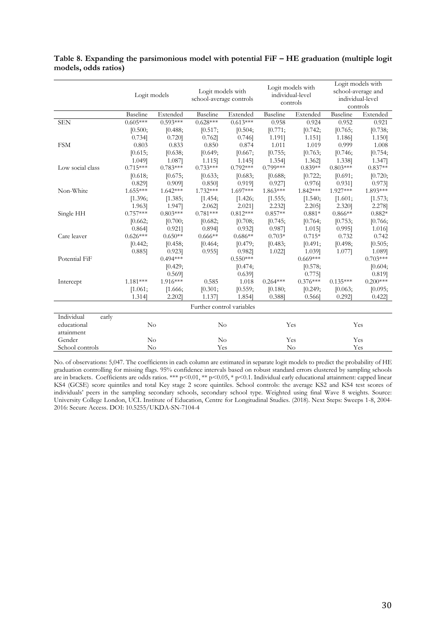|                     | Logit models   |            | Logit models with<br>school-average controls |            | Logit models with<br>individual-level<br>controls |            | Logit models with<br>school-average and<br>individual-level<br>controls |            |  |
|---------------------|----------------|------------|----------------------------------------------|------------|---------------------------------------------------|------------|-------------------------------------------------------------------------|------------|--|
|                     | Baseline       | Extended   | Baseline                                     | Extended   | Baseline                                          | Extended   | Baseline                                                                | Extended   |  |
| <b>SEN</b>          | $0.605***$     | $0.593***$ | $0.628***$                                   | $0.613***$ | 0.958                                             | 0.924      | 0.952                                                                   | 0.921      |  |
|                     | [0.500;        | [0.488;    | [0.517;                                      | [0.504;    | [0.771;                                           | [0.742;    | [0.765;                                                                 | [0.738;    |  |
|                     | 0.734]         | $0.720$ ]  | 0.762                                        | $0.746$ ]  | 1.191]                                            | 1.151]     | 1.186]                                                                  | 1.150]     |  |
| <b>FSM</b>          | 0.803          | 0.833      | 0.850                                        | 0.874      | 1.011                                             | 1.019      | 0.999                                                                   | 1.008      |  |
|                     | [0.615;        | [0.638;    | [0.649;                                      | [0.667;    | [0.755;                                           | [0.763;    | [0.746;                                                                 | [0.754;    |  |
|                     | 1.049]         | 1.087]     | 1.115]                                       | 1.145]     | 1.354]                                            | 1.362]     | 1.338]                                                                  | 1.347]     |  |
| Low social class    | $0.715***$     | $0.783***$ | $0.733***$                                   | $0.792***$ | $0.799***$                                        | $0.839**$  | $0.803***$                                                              | $0.837**$  |  |
|                     | [0.618;        | [0.675;    | [0.633;                                      | [0.683;    | [0.688;                                           | [0.722;    | [0.691;                                                                 | [0.720;    |  |
|                     | $0.829$ ]      | $0.909$ ]  | 0.850                                        | 0.919]     | 0.927                                             | 0.976      | $0.931$ ]                                                               | 0.973      |  |
| Non-White           | $1.655***$     | $1.642***$ | 1.732***                                     | $1.697***$ | $1.863***$                                        | $1.842***$ | 1.927***                                                                | 1.893***   |  |
|                     | [1.396;        | [1.385;    | [1.454;                                      | [1.426;    | [1.555;                                           | [1.540;    | [1.601;                                                                 | [1.573;    |  |
|                     | 1.963]         | 1.947]     | 2.062]                                       | 2.021]     | 2.232]                                            | 2.205      | 2.320]                                                                  | 2.278]     |  |
| Single HH           | $0.757***$     | $0.803***$ | $0.781***$                                   | $0.812***$ | $0.857**$                                         | $0.881*$   | $0.866**$                                                               | $0.882*$   |  |
|                     | [0.662;        | [0.700;    | [0.682;                                      | [0.708;    | [0.745;                                           | [0.764;    | [0.753;                                                                 | [0.766;    |  |
|                     | 0.864]         | $0.921$ ]  | 0.894]                                       | $0.932$ ]  | 0.987                                             | 1.015]     | $0.995$ ]                                                               | 1.016]     |  |
| Care leaver         | $0.626***$     | $0.650**$  | $0.666**$                                    | $0.686**$  | $0.703*$                                          | $0.715*$   | 0.732                                                                   | 0.742      |  |
|                     | [0.442;        | [0.458;    | [0.464;                                      | [0.479;    | [0.483;                                           | [0.491;    | [0.498;                                                                 | [0.505;    |  |
|                     | $0.885$ ]      | $0.923$ ]  | $0.955$ ]                                    | 0.982]     | 1.022]                                            | 1.039]     | 1.077                                                                   | 1.089]     |  |
| Potential FiF       |                | $0.494***$ |                                              | $0.550***$ |                                                   | $0.669***$ |                                                                         | $0.703***$ |  |
|                     |                | [0.429;    |                                              | [0.474;    |                                                   | [0.578;    |                                                                         | [0.604;    |  |
|                     |                | 0.5691     |                                              | $0.639$ ]  |                                                   | 0.775      |                                                                         | 0.819]     |  |
| Intercept           | $1.181***$     | 1.916***   | 0.585                                        | 1.018      | $0.264***$                                        | $0.376***$ | $0.135***$                                                              | $0.200***$ |  |
|                     | [1.061;        | [1.666;    | [0.301;                                      | [0.559;    | [0.180;                                           | [0.249;    | [0.063;                                                                 | [0.095;    |  |
|                     | 1.314]         | 2.202      | 1.137                                        | 1.854]     | 0.388                                             | 0.566      | 0.292                                                                   | $0.422$ ]  |  |
|                     |                |            | Further control variables                    |            |                                                   |            |                                                                         |            |  |
| Individual<br>early |                |            |                                              |            |                                                   |            |                                                                         |            |  |
| educational         | N <sub>o</sub> |            | $\rm No$                                     |            |                                                   | Yes        |                                                                         | Yes        |  |
| attainment          |                |            |                                              |            |                                                   |            |                                                                         |            |  |
| Gender              | $\rm No$       |            | $\rm No$                                     |            | Yes                                               |            |                                                                         | Yes        |  |
| School controls     | $\rm No$       |            | Yes                                          |            | No                                                |            |                                                                         | Yes        |  |

<span id="page-31-0"></span>

|                      | Table 8. Expanding the parsimonious model with potential FiF - HE graduation (multiple logit |  |  |
|----------------------|----------------------------------------------------------------------------------------------|--|--|
| models, odds ratios) |                                                                                              |  |  |

No. of observations: 5,047. The coefficients in each column are estimated in separate logit models to predict the probability of HE graduation controlling for missing flags. 95% confidence intervals based on robust standard errors clustered by sampling schools are in brackets. Coefficients are odds ratios. \*\*\* p<0.01, \*\* p<0.05, \* p<0.1. Individual early educational attainment: capped linear KS4 (GCSE) score quintiles and total Key stage 2 score quintiles. School controls: the average KS2 and KS4 test scores of individuals' peers in the sampling secondary schools, secondary school type. Weighted using final Wave 8 weights. Source: University College London, UCL Institute of Education, Centre for Longitudinal Studies. (2018). Next Steps: Sweeps 1-8, 2004- 2016: Secure Access. DOI: 10.5255/UKDA-SN-7104-4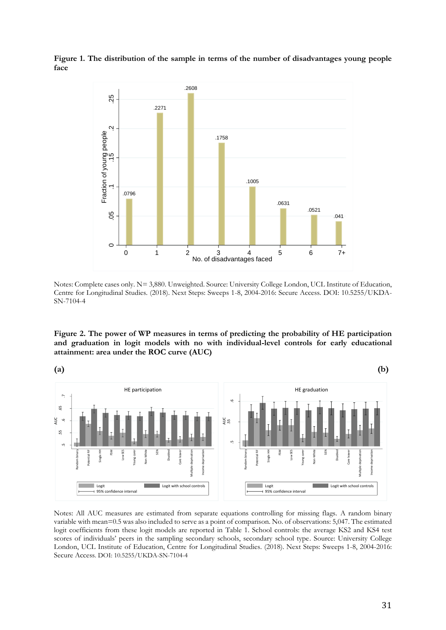<span id="page-32-0"></span>**Figure 1. The distribution of the sample in terms of the number of disadvantages young people face** 



Notes: Complete cases only. N= 3,880. Unweighted. Source: University College London, UCL Institute of Education, Centre for Longitudinal Studies. (2018). Next Steps: Sweeps 1-8, 2004-2016: Secure Access. DOI: 10.5255/UKDA-SN-7104-4

<span id="page-32-1"></span>**Figure 2. The power of WP measures in terms of predicting the probability of HE participation and graduation in logit models with no with individual-level controls for early educational attainment: area under the ROC curve (AUC)** 



Notes: All AUC measures are estimated from separate equations controlling for missing flags. A random binary variable with mean=0.5 was also included to serve as a point of comparison. No. of observations: 5,047. The estimated logit coefficients from these logit models are reported in [Table 1.](#page-25-0) School controls: the average KS2 and KS4 test scores of individuals' peers in the sampling secondary schools, secondary school type. Source: University College London, UCL Institute of Education, Centre for Longitudinal Studies. (2018). Next Steps: Sweeps 1-8, 2004-2016: Secure Access. DOI: 10.5255/UKDA-SN-7104-4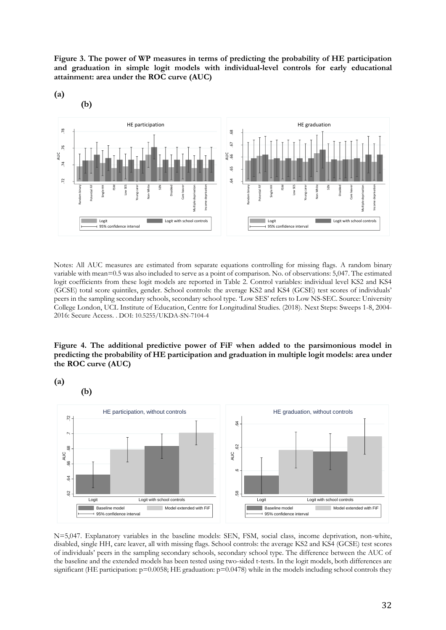<span id="page-33-0"></span>**Figure 3. The power of WP measures in terms of predicting the probability of HE participation and graduation in simple logit models with individual-level controls for early educational attainment: area under the ROC curve (AUC)** 



Notes: All AUC measures are estimated from separate equations controlling for missing flags. A random binary variable with mean=0.5 was also included to serve as a point of comparison. No. of observations: 5,047. The estimated logit coefficients from these logit models are reported in Table 2. Control variables: individual level KS2 and KS4 (GCSE) total score quintiles, gender. School controls: the average KS2 and KS4 (GCSE) test scores of individuals' peers in the sampling secondary schools, secondary school type. 'Low SES' refers to Low NS-SEC. Source: University College London, UCL Institute of Education, Centre for Longitudinal Studies. (2018). Next Steps: Sweeps 1-8, 2004- 2016: Secure Access. . DOI: 10.5255/UKDA-SN-7104-4

#### <span id="page-33-1"></span>**Figure 4. The additional predictive power of FiF when added to the parsimonious model in predicting the probability of HE participation and graduation in multiple logit models: area under the ROC curve (AUC)**

**(a)** 

**(b)**



N=5,047. Explanatory variables in the baseline models: SEN, FSM, social class, income deprivation, non-white, disabled, single HH, care leaver, all with missing flags. School controls: the average KS2 and KS4 (GCSE) test scores of individuals' peers in the sampling secondary schools, secondary school type. The difference between the AUC of the baseline and the extended models has been tested using two-sided t-tests. In the logit models, both differences are significant (HE participation:  $p=0.0058$ ; HE graduation:  $p=0.0478$ ) while in the models including school controls they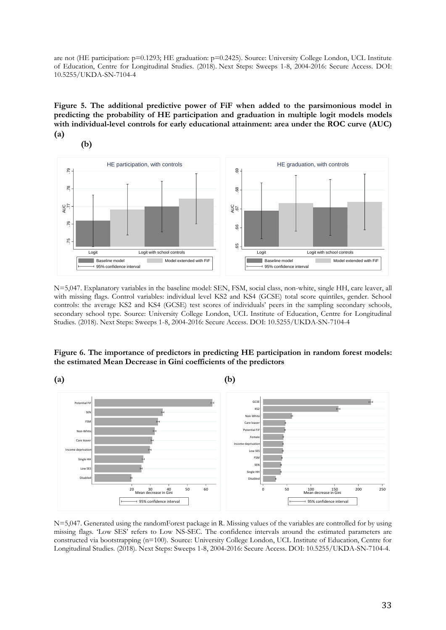are not (HE participation: p=0.1293; HE graduation: p=0.2425). Source: University College London, UCL Institute of Education, Centre for Longitudinal Studies. (2018). Next Steps: Sweeps 1-8, 2004-2016: Secure Access. DOI: 10.5255/UKDA-SN-7104-4

<span id="page-34-0"></span>**Figure 5. The additional predictive power of FiF when added to the parsimonious model in predicting the probability of HE participation and graduation in multiple logit models models with individual-level controls for early educational attainment: area under the ROC curve (AUC) (a)** 



N=5,047. Explanatory variables in the baseline model: SEN, FSM, social class, non-white, single HH, care leaver, all with missing flags. Control variables: individual level KS2 and KS4 (GCSE) total score quintiles, gender. School controls: the average KS2 and KS4 (GCSE) test scores of individuals' peers in the sampling secondary schools, secondary school type. Source: University College London, UCL Institute of Education, Centre for Longitudinal Studies. (2018). Next Steps: Sweeps 1-8, 2004-2016: Secure Access. DOI: 10.5255/UKDA-SN-7104-4

#### <span id="page-34-1"></span>**Figure 6. The importance of predictors in predicting HE participation in random forest models: the estimated Mean Decrease in Gini coefficients of the predictors**



N=5,047. Generated using the randomForest package in R. Missing values of the variables are controlled for by using missing flags. 'Low SES' refers to Low NS-SEC. The confidence intervals around the estimated parameters are constructed via bootstrapping (n=100). Source: University College London, UCL Institute of Education, Centre for Longitudinal Studies. (2018). Next Steps: Sweeps 1-8, 2004-2016: Secure Access. DOI: 10.5255/UKDA-SN-7104-4.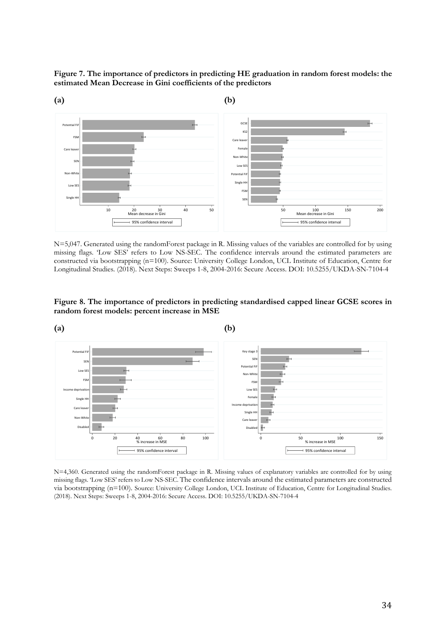<span id="page-35-0"></span>**Figure 7. The importance of predictors in predicting HE graduation in random forest models: the estimated Mean Decrease in Gini coefficients of the predictors**



N=5,047. Generated using the randomForest package in R. Missing values of the variables are controlled for by using missing flags. 'Low SES' refers to Low NS-SEC. The confidence intervals around the estimated parameters are constructed via bootstrapping (n=100). Source: University College London, UCL Institute of Education, Centre for Longitudinal Studies. (2018). Next Steps: Sweeps 1-8, 2004-2016: Secure Access. DOI: 10.5255/UKDA-SN-7104-4

<span id="page-35-1"></span>**Figure 8. The importance of predictors in predicting standardised capped linear GCSE scores in random forest models: percent increase in MSE**



N=4,360. Generated using the randomForest package in R. Missing values of explanatory variables are controlled for by using missing flags. 'Low SES' refers to Low NS-SEC. The confidence intervals around the estimated parameters are constructed via bootstrapping (n=100). Source: University College London, UCL Institute of Education, Centre for Longitudinal Studies. (2018). Next Steps: Sweeps 1-8, 2004-2016: Secure Access. DOI: 10.5255/UKDA-SN-7104-4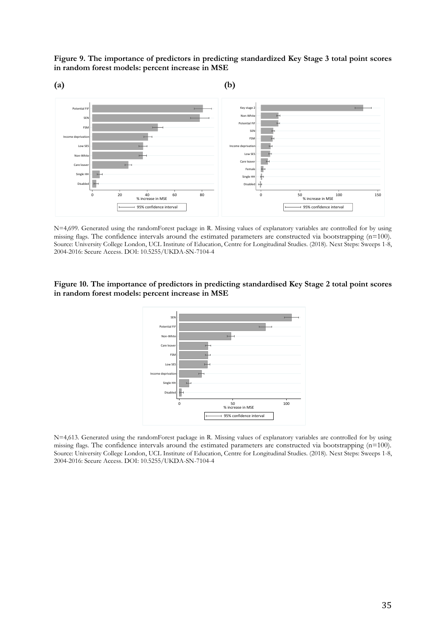<span id="page-36-0"></span>**Figure 9. The importance of predictors in predicting standardized Key Stage 3 total point scores in random forest models: percent increase in MSE**



N=4,699. Generated using the randomForest package in R. Missing values of explanatory variables are controlled for by using missing flags. The confidence intervals around the estimated parameters are constructed via bootstrapping (n=100). Source: University College London, UCL Institute of Education, Centre for Longitudinal Studies. (2018). Next Steps: Sweeps 1-8, 2004-2016: Secure Access. DOI: 10.5255/UKDA-SN-7104-4

#### <span id="page-36-1"></span>**Figure 10. The importance of predictors in predicting standardised Key Stage 2 total point scores in random forest models: percent increase in MSE**



N=4,613. Generated using the randomForest package in R. Missing values of explanatory variables are controlled for by using missing flags. The confidence intervals around the estimated parameters are constructed via bootstrapping (n=100). Source: University College London, UCL Institute of Education, Centre for Longitudinal Studies. (2018). Next Steps: Sweeps 1-8, 2004-2016: Secure Access. DOI: 10.5255/UKDA-SN-7104-4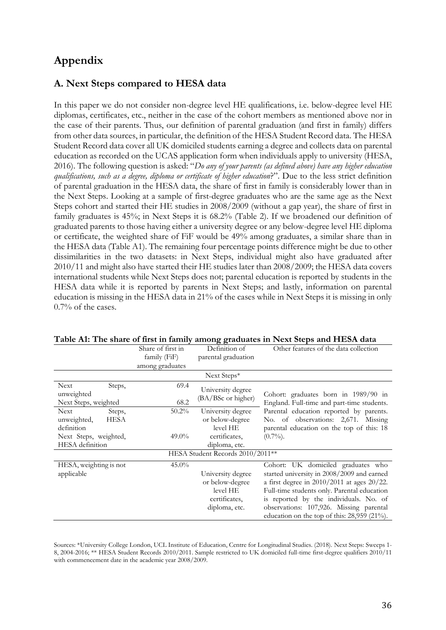## **Appendix**

## **A. Next Steps compared to HESA data**

In this paper we do not consider non-degree level HE qualifications, i.e. below-degree level HE diplomas, certificates, etc., neither in the case of the cohort members as mentioned above nor in the case of their parents. Thus, our definition of parental graduation (and first in family) differs from other data sources, in particular, the definition of the HESA Student Record data. The HESA Student Record data cover all UK domiciled students earning a degree and collects data on parental education as recorded on the UCAS application form when individuals apply to university (HESA, 2016). The following question is asked: "*Do any of your parents (as defined above) have any higher education qualifications, such as a degree, diploma or certificate of higher education*?". Due to the less strict definition of parental graduation in the HESA data, the share of first in family is considerably lower than in the Next Steps. Looking at a sample of first-degree graduates who are the same age as the Next Steps cohort and started their HE studies in 2008/2009 (without a gap year), the share of first in family graduates is 45%; in Next Steps it is 68.2% (Table 2). If we broadened our definition of graduated parents to those having either a university degree or any below-degree level HE diploma or certificate, the weighted share of FiF would be 49% among graduates, a similar share than in the HESA data (Table A1). The remaining four percentage points difference might be due to other dissimilarities in the two datasets: in Next Steps, individual might also have graduated after 2010/11 and might also have started their HE studies later than 2008/2009; the HESA data covers international students while Next Steps does not; parental education is reported by students in the HESA data while it is reported by parents in Next Steps; and lastly, information on parental education is missing in the HESA data in 21% of the cases while in Next Steps it is missing in only 0.7% of the cases.

|                                    | Share of first in<br>family (FiF)<br>among graduates | Definition of<br>parental graduation | Other features of the data collection                                              |  |  |  |
|------------------------------------|------------------------------------------------------|--------------------------------------|------------------------------------------------------------------------------------|--|--|--|
|                                    |                                                      | Next Steps*                          |                                                                                    |  |  |  |
| <b>Next</b><br>Steps,              | 69.4                                                 | University degree                    |                                                                                    |  |  |  |
| unweighted<br>Next Steps, weighted | 68.2                                                 | (BA/BSc or higher)                   | Cohort: graduates born in 1989/90 in<br>England. Full-time and part-time students. |  |  |  |
| <b>Next</b><br>Steps,              | $50.2\%$                                             | University degree                    | Parental education reported by parents.                                            |  |  |  |
| unweighted,<br>HESA                |                                                      | or below-degree                      | No. of observations: 2,671. Missing                                                |  |  |  |
| definition                         |                                                      | level HE                             | parental education on the top of this: 18                                          |  |  |  |
| Next Steps, weighted,              | $49.0\%$                                             | certificates.                        | $(0.7\%)$ .                                                                        |  |  |  |
| HESA definition                    |                                                      | diploma, etc.                        |                                                                                    |  |  |  |
| HESA Student Records 2010/2011 **  |                                                      |                                      |                                                                                    |  |  |  |
| HESA, weighting is not             | $45.0\%$                                             |                                      | Cohort: UK domiciled graduates who                                                 |  |  |  |
| applicable                         |                                                      | University degree                    | started university in 2008/2009 and earned                                         |  |  |  |
|                                    |                                                      | or below-degree                      | a first degree in $2010/2011$ at ages $20/22$ .                                    |  |  |  |
|                                    |                                                      | level HE                             | Full-time students only. Parental education                                        |  |  |  |
|                                    |                                                      | certificates,                        | is reported by the individuals. No. of                                             |  |  |  |
|                                    |                                                      | diploma, etc.                        | observations: 107,926. Missing parental                                            |  |  |  |
|                                    |                                                      |                                      | education on the top of this: 28,959 (21%).                                        |  |  |  |

**Table A1: The share of first in family among graduates in Next Steps and HESA data**

Sources: \*University College London, UCL Institute of Education, Centre for Longitudinal Studies. (2018). Next Steps: Sweeps 1- 8, 2004-2016; \*\* HESA Student Records 2010/2011. Sample restricted to UK domiciled full-time first-degree qualifiers 2010/11 with commencement date in the academic year 2008/2009.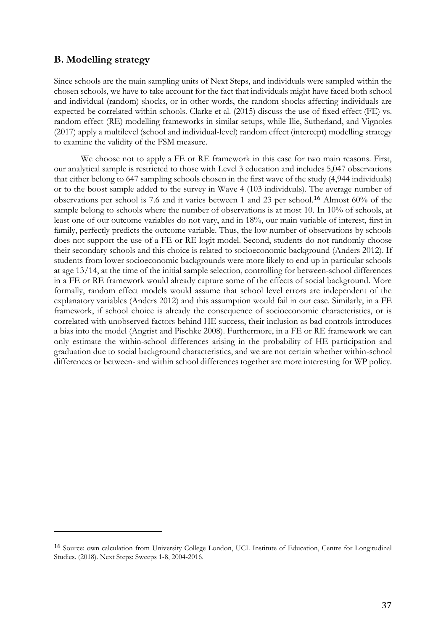## **B. Modelling strategy**

<u>.</u>

Since schools are the main sampling units of Next Steps, and individuals were sampled within the chosen schools, we have to take account for the fact that individuals might have faced both school and individual (random) shocks, or in other words, the random shocks affecting individuals are expected be correlated within schools. Clarke et al. (2015) discuss the use of fixed effect (FE) vs. random effect (RE) modelling frameworks in similar setups, while Ilie, Sutherland, and Vignoles (2017) apply a multilevel (school and individual-level) random effect (intercept) modelling strategy to examine the validity of the FSM measure.

We choose not to apply a FE or RE framework in this case for two main reasons. First, our analytical sample is restricted to those with Level 3 education and includes 5,047 observations that either belong to 647 sampling schools chosen in the first wave of the study (4,944 individuals) or to the boost sample added to the survey in Wave 4 (103 individuals). The average number of observations per school is 7.6 and it varies between 1 and 23 per school.<sup>16</sup> Almost 60% of the sample belong to schools where the number of observations is at most 10. In 10% of schools, at least one of our outcome variables do not vary, and in 18%, our main variable of interest, first in family, perfectly predicts the outcome variable. Thus, the low number of observations by schools does not support the use of a FE or RE logit model. Second, students do not randomly choose their secondary schools and this choice is related to socioeconomic background (Anders 2012). If students from lower socioeconomic backgrounds were more likely to end up in particular schools at age 13/14, at the time of the initial sample selection, controlling for between-school differences in a FE or RE framework would already capture some of the effects of social background. More formally, random effect models would assume that school level errors are independent of the explanatory variables (Anders 2012) and this assumption would fail in our case. Similarly, in a FE framework, if school choice is already the consequence of socioeconomic characteristics, or is correlated with unobserved factors behind HE success, their inclusion as bad controls introduces a bias into the model (Angrist and Pischke 2008). Furthermore, in a FE or RE framework we can only estimate the within-school differences arising in the probability of HE participation and graduation due to social background characteristics, and we are not certain whether within-school differences or between- and within school differences together are more interesting for WP policy.

<sup>16</sup> Source: own calculation from University College London, UCL Institute of Education, Centre for Longitudinal Studies. (2018). Next Steps: Sweeps 1-8, 2004-2016.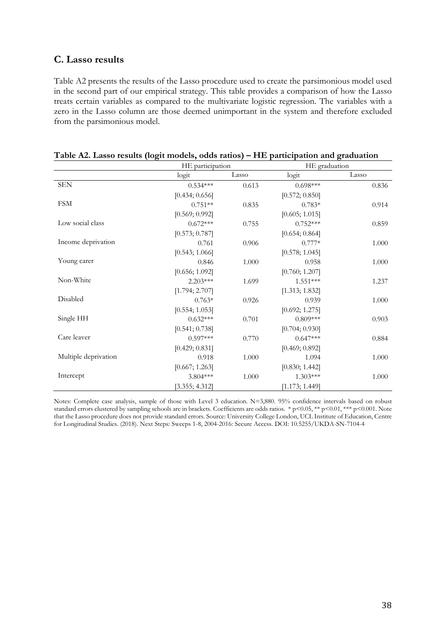## **C. Lasso results**

Table A2 presents the results of the Lasso procedure used to create the parsimonious model used in the second part of our empirical strategy. This table provides a comparison of how the Lasso treats certain variables as compared to the multivariate logistic regression. The variables with a zero in the Lasso column are those deemed unimportant in the system and therefore excluded from the parsimonious model.

|                      | HE participation |       | HE graduation  |       |
|----------------------|------------------|-------|----------------|-------|
|                      | logit            | Lasso | logit          | Lasso |
| <b>SEN</b>           | $0.534***$       | 0.613 | $0.698***$     | 0.836 |
|                      | [0.434; 0.656]   |       | [0.572; 0.850] |       |
| <b>FSM</b>           | $0.751**$        | 0.835 | $0.783*$       | 0.914 |
|                      | [0.569; 0.992]   |       | [0.605; 1.015] |       |
| Low social class     | $0.672***$       | 0.755 | $0.752***$     | 0.859 |
|                      | [0.573; 0.787]   |       | [0.654; 0.864] |       |
| Income deprivation   | 0.761            | 0.906 | $0.777*$       | 1.000 |
|                      | [0.543; 1.066]   |       | [0.578; 1.045] |       |
| Young carer          | 0.846            | 1.000 | 0.958          | 1.000 |
|                      | [0.656; 1.092]   |       | [0.760; 1.207] |       |
| Non-White            | $2.203***$       | 1.699 | $1.551***$     | 1.237 |
|                      | [1.794; 2.707]   |       | [1.313; 1.832] |       |
| Disabled             | $0.763*$         | 0.926 | 0.939          | 1.000 |
|                      | [0.554; 1.053]   |       | [0.692; 1.275] |       |
| Single HH            | $0.632***$       | 0.701 | $0.809***$     | 0.903 |
|                      | [0.541; 0.738]   |       | [0.704; 0.930] |       |
| Care leaver          | $0.597***$       | 0.770 | $0.647***$     | 0.884 |
|                      | [0.429; 0.831]   |       | [0.469; 0.892] |       |
| Multiple deprivation | 0.918            | 1.000 | 1.094          | 1.000 |
|                      | [0.667; 1.263]   |       | [0.830; 1.442] |       |
| Intercept            | $3.804***$       | 1.000 | $1.303***$     | 1.000 |
|                      | [3.355; 4.312]   |       | [1.173; 1.449] |       |

Notes: Complete case analysis, sample of those with Level 3 education. N=3,880. 95% confidence intervals based on robust standard errors clustered by sampling schools are in brackets. Coefficients are odds ratios. \* p<0.05, \*\* p<0.01, \*\*\* p<0.001. Note that the Lasso procedure does not provide standard errors. Source: University College London, UCL Institute of Education, Centre for Longitudinal Studies. (2018). Next Steps: Sweeps 1-8, 2004-2016: Secure Access. DOI: 10.5255/UKDA-SN-7104-4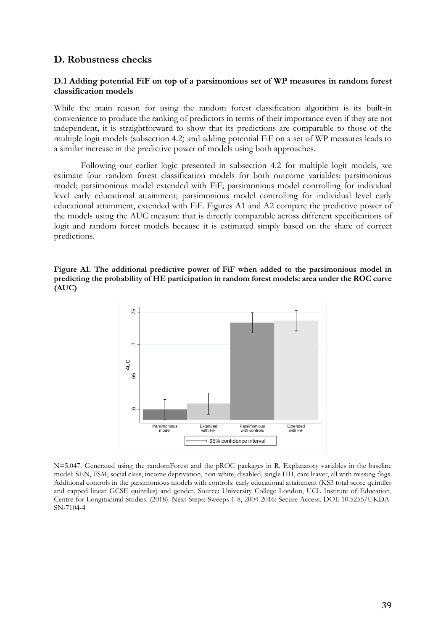## **D. Robustness checks**

### **D.1 Adding potential FiF on top of a parsimonious set of WP measures in random forest classification models**

While the main reason for using the random forest classification algorithm is its built-in convenience to produce the ranking of predictors in terms of their importance even if they are not independent, it is straightforward to show that its predictions are comparable to those of the multiple logit models (subsection 4.2) and adding potential FiF on a set of WP measures leads to a similar increase in the predictive power of models using both approaches.

Following our earlier logic presented in subsection 4.2 for multiple logit models, we estimate four random forest classification models for both outcome variables: parsimonious model; parsimonious model extended with FiF; parsimonious model controlling for individual level early educational attainment; parsimonious model controlling for individual level early educational attainment, extended with FiF. Figures A1 and A2 compare the predictive power of the models using the AUC measure that is directly comparable across different specifications of logit and random forest models because it is estimated simply based on the share of correct predictions.





N=5,047. Generated using the randomForest and the pROC packages in R. Explanatory variables in the baseline model: SEN, FSM, social class, income deprivation, non-white, disabled, single HH, care leaver, all with missing flags. Additional controls in the parsimonious models with controls: early educational attainment (KS3 total score quintiles and capped linear GCSE quintiles) and gender. Source: University College London, UCL Institute of Education, Centre for Longitudinal Studies. (2018). Next Steps: Sweeps 1-8, 2004-2016: Secure Access. DOI: 10.5255/UKDA-SN-7104-4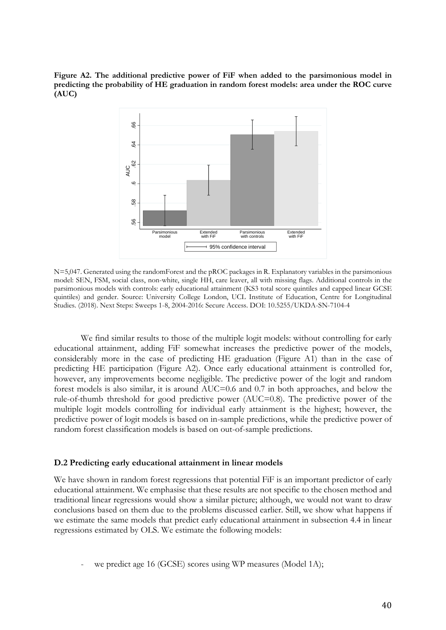**Figure A2. The additional predictive power of FiF when added to the parsimonious model in predicting the probability of HE graduation in random forest models: area under the ROC curve (AUC)** 



N=5,047. Generated using the randomForest and the pROC packages in R. Explanatory variables in the parsimonious model: SEN, FSM, social class, non-white, single HH, care leaver, all with missing flags. Additional controls in the parsimonious models with controls: early educational attainment (KS3 total score quintiles and capped linear GCSE quintiles) and gender. Source: University College London, UCL Institute of Education, Centre for Longitudinal Studies. (2018). Next Steps: Sweeps 1-8, 2004-2016: Secure Access. DOI: 10.5255/UKDA-SN-7104-4

We find similar results to those of the multiple logit models: without controlling for early educational attainment, adding FiF somewhat increases the predictive power of the models, considerably more in the case of predicting HE graduation (Figure A1) than in the case of predicting HE participation (Figure A2). Once early educational attainment is controlled for, however, any improvements become negligible. The predictive power of the logit and random forest models is also similar, it is around AUC=0.6 and 0.7 in both approaches, and below the rule-of-thumb threshold for good predictive power (AUC=0.8). The predictive power of the multiple logit models controlling for individual early attainment is the highest; however, the predictive power of logit models is based on in-sample predictions, while the predictive power of random forest classification models is based on out-of-sample predictions.

#### **D.2 Predicting early educational attainment in linear models**

We have shown in random forest regressions that potential FiF is an important predictor of early educational attainment. We emphasise that these results are not specific to the chosen method and traditional linear regressions would show a similar picture; although, we would not want to draw conclusions based on them due to the problems discussed earlier. Still, we show what happens if we estimate the same models that predict early educational attainment in subsection 4.4 in linear regressions estimated by OLS. We estimate the following models:

we predict age 16 (GCSE) scores using WP measures (Model 1A);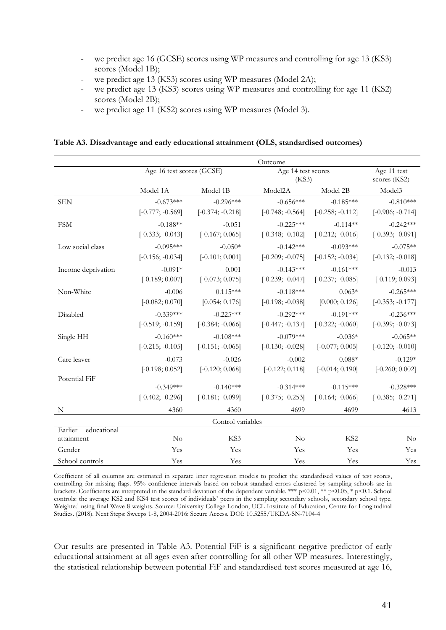- we predict age 16 (GCSE) scores using WP measures and controlling for age 13 (KS3) scores (Model 1B);
- we predict age 13 (KS3) scores using WP measures (Model 2A);
- we predict age 13 (KS3) scores using WP measures and controlling for age 11 (KS2) scores (Model 2B);
- we predict age 11 (KS2) scores using WP measures (Model 3).

**Table A3. Disadvantage and early educational attainment (OLS, standardised outcomes)**

|                                      | Outcome                   |                    |                             |                    |                             |
|--------------------------------------|---------------------------|--------------------|-----------------------------|--------------------|-----------------------------|
|                                      | Age 16 test scores (GCSE) |                    | Age 14 test scores<br>(KS3) |                    | Age 11 test<br>scores (KS2) |
|                                      | Model 1A                  | Model 1B           | Model <sub>2</sub> A        | Model 2B           | Model3                      |
| <b>SEN</b>                           | $-0.673***$               | $-0.296***$        | $-0.656***$                 | $-0.185***$        | $-0.810***$                 |
|                                      | $[-0.777; -0.569]$        | $[-0.374; -0.218]$ | $[-0.748; -0.564]$          | $[-0.258; -0.112]$ | $[-0.906; -0.714]$          |
| <b>FSM</b>                           | $-0.188**$                | $-0.051$           | $-0.225***$                 | $-0.114**$         | $-0.242***$                 |
|                                      | $[-0.333; -0.043]$        | $[-0.167; 0.065]$  | $[-0.348; -0.102]$          | $[-0.212; -0.016]$ | $[-0.393; -0.091]$          |
| Low social class                     | $-0.095***$               | $-0.050*$          | $-0.142***$                 | $-0.093***$        | $-0.075**$                  |
|                                      | $[-0.156; -0.034]$        | $[-0.101; 0.001]$  | $[-0.209; -0.075]$          | $[-0.152; -0.034]$ | $[-0.132; -0.018]$          |
| Income deprivation                   | $-0.091*$                 | 0.001              | $-0.143***$                 | $-0.161***$        | $-0.013$                    |
|                                      | $[-0.189; 0.007]$         | $[-0.073; 0.075]$  | $[-0.239; -0.047]$          | $[-0.237; -0.085]$ | $[-0.119; 0.093]$           |
| Non-White                            | $-0.006$                  | $0.115***$         | $-0.118***$                 | $0.063*$           | $-0.265***$                 |
|                                      | $[-0.082; 0.070]$         | [0.054; 0.176]     | $[-0.198; -0.038]$          | [0.000; 0.126]     | $[-0.353; -0.177]$          |
| Disabled                             | $-0.339***$               | $-0.225***$        | $-0.292***$                 | $-0.191***$        | $-0.236***$                 |
|                                      | $[-0.519; -0.159]$        | $[-0.384; -0.066]$ | $[-0.447; -0.137]$          | $[-0.322; -0.060]$ | $[-0.399; -0.073]$          |
| Single HH                            | $-0.160***$               | $-0.108***$        | $-0.079***$                 | $-0.036*$          | $-0.065**$                  |
|                                      | $[-0.215; -0.105]$        | $[-0.151; -0.065]$ | $[-0.130; -0.028]$          | $[-0.077; 0.005]$  | $[-0.120; -0.010]$          |
| Care leaver                          | $-0.073$                  | $-0.026$           | $-0.002$                    | $0.088*$           | $-0.129*$                   |
|                                      | $[-0.198; 0.052]$         | $[-0.120; 0.068]$  | $[-0.122; 0.118]$           | $[-0.014; 0.190]$  | $[-0.260; 0.002]$           |
| Potential FiF                        |                           |                    |                             |                    |                             |
|                                      | $-0.349***$               | $-0.140***$        | $-0.314***$                 | $-0.115***$        | $-0.328***$                 |
|                                      | $[-0.402; -0.296]$        | $[-0.181; -0.099]$ | $[-0.375; -0.253]$          | $[-0.164; -0.066]$ | $[-0.385; -0.271]$          |
| N                                    | 4360                      | 4360               | 4699                        | 4699               | 4613                        |
| Control variables                    |                           |                    |                             |                    |                             |
| Earlier<br>educational<br>attainment | $\rm No$                  | KS3                | $\rm No$                    | KS <sub>2</sub>    | No                          |
| Gender                               | Yes                       | Yes                | Yes                         | Yes                | Yes                         |
| School controls                      | Yes                       | Yes                | Yes                         | Yes                | Yes                         |

Coefficient of all columns are estimated in separate liner regression models to predict the standardised values of test scores, controlling for missing flags. 95% confidence intervals based on robust standard errors clustered by sampling schools are in brackets. Coefficients are interpreted in the standard deviation of the dependent variable. \*\*\* p<0.01, \*\* p<0.05, \* p<0.1. School controls: the average KS2 and KS4 test scores of individuals' peers in the sampling secondary schools, secondary school type. Weighted using final Wave 8 weights. Source: University College London, UCL Institute of Education, Centre for Longitudinal Studies. (2018). Next Steps: Sweeps 1-8, 2004-2016: Secure Access. DOI: 10.5255/UKDA-SN-7104-4

Our results are presented in Table A3. Potential FiF is a significant negative predictor of early educational attainment at all ages even after controlling for all other WP measures. Interestingly, the statistical relationship between potential FiF and standardised test scores measured at age 16,